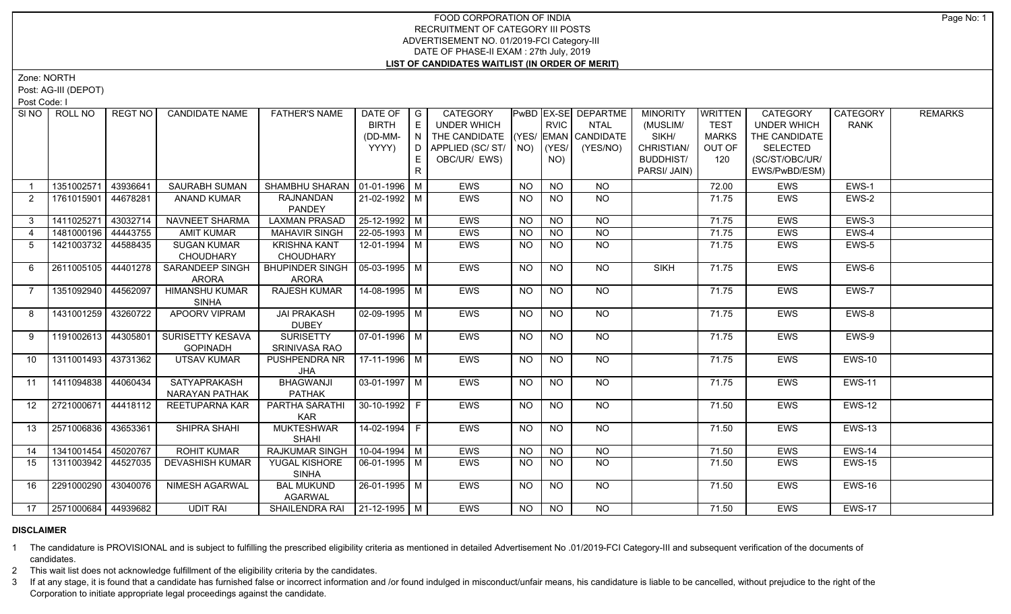Zone: NORTH

Post: AG-III (DEPOT)

Post Code: I

| SI <sub>NO</sub> | ROLL NO             | <b>REGT NO</b> | <b>CANDIDATE NAME</b>   | <b>FATHER'S NAME</b>            | DATE OF $ G $              |       | CATEGORY<br>UNDER WHICH                                      |           | <b>RVIC</b>      | <b>PwBD EX-SE DEPARTME</b> | <b>MINORITY</b>     | WRITTEN                | <b>CATEGORY</b>           | CATEGORY      | <b>REMARKS</b> |
|------------------|---------------------|----------------|-------------------------|---------------------------------|----------------------------|-------|--------------------------------------------------------------|-----------|------------------|----------------------------|---------------------|------------------------|---------------------------|---------------|----------------|
|                  |                     |                |                         |                                 | <b>BIRTH</b>               | E     |                                                              |           |                  | <b>NTAL</b>                | (MUSLIM/            | <b>TEST</b>            | <b>UNDER WHICH</b>        | <b>RANK</b>   |                |
|                  |                     |                |                         |                                 | (DD-MM-<br>YYYY)           | I N I | THE CANDIDATE (YES/ EMAN CANDIDATE<br>D APPLIED (SC/ ST/ NO) |           | (YES/            | (YES/NO)                   | SIKH/<br>CHRISTIAN/ | <b>MARKS</b><br>OUT OF | THE CANDIDATE<br>SELECTED |               |                |
|                  |                     |                |                         |                                 |                            | E     | OBC/UR/ EWS)                                                 |           | NO)              |                            | <b>BUDDHIST/</b>    | 120                    | (SC/ST/OBC/UR/            |               |                |
|                  |                     |                |                         |                                 |                            | R.    |                                                              |           |                  |                            | PARSI/ JAIN)        |                        | EWS/PwBD/ESM)             |               |                |
|                  |                     |                |                         |                                 |                            |       |                                                              |           |                  |                            |                     |                        |                           |               |                |
|                  | 1351002571          | 43936641       | SAURABH SUMAN           | SHAMBHU SHARAN   01-01-1996   M |                            |       | EWS                                                          | <b>NO</b> | <b>NO</b>        | <b>NO</b>                  |                     | 72.00                  | <b>EWS</b>                | EWS-1         |                |
| 2                | 1761015901 44678281 |                | <b>ANAND KUMAR</b>      | RAJNANDAN                       | 21-02-1992   M             |       | <b>EWS</b>                                                   | <b>NO</b> | <b>NO</b>        | NO                         |                     | 71.75                  | <b>EWS</b>                | EWS-2         |                |
|                  |                     |                |                         | <b>PANDEY</b>                   |                            |       |                                                              |           |                  |                            |                     |                        |                           |               |                |
| 3 <sup>1</sup>   | 1411025271          | 43032714       | NAVNEET SHARMA          | <b>LAXMAN PRASAD</b>            | 25-12-1992 M               |       | <b>EWS</b>                                                   | <b>NO</b> | <b>NO</b>        | <b>NO</b>                  |                     | 71.75                  | <b>EWS</b>                | EWS-3         |                |
| $\overline{4}$   | 1481000196 44443755 |                | <b>AMIT KUMAR</b>       | <b>MAHAVIR SINGH</b>            | $22 - 05 - 1993$ M         |       | <b>EWS</b>                                                   | <b>NO</b> | <b>NO</b>        | <b>NO</b>                  |                     | 71.75                  | <b>EWS</b>                | EWS-4         |                |
| 5                | 1421003732 44588435 |                | <b>SUGAN KUMAR</b>      | <b>KRISHNA KANT</b>             | 12-01-1994 M               |       | EWS                                                          | <b>NO</b> | <b>NO</b>        | <b>NO</b>                  |                     | 71.75                  | EWS                       | EWS-5         |                |
|                  |                     |                | <b>CHOUDHARY</b>        | <b>CHOUDHARY</b>                |                            |       |                                                              |           |                  |                            |                     |                        |                           |               |                |
| 6                | 2611005105 44401278 |                | SARANDEEP SINGH         | <b>BHUPINDER SINGH</b>          | 05-03-1995   M             |       | EWS                                                          | <b>NO</b> | $\overline{NO}$  | $\overline{NO}$            | <b>SIKH</b>         | 71.75                  | <b>EWS</b>                | EWS-6         |                |
|                  |                     |                | <b>ARORA</b>            | <b>ARORA</b>                    |                            |       |                                                              |           |                  |                            |                     |                        |                           |               |                |
| $\overline{7}$   | 1351092940 44562097 |                | <b>HIMANSHU KUMAR</b>   | <b>RAJESH KUMAR</b>             | $14 - 08 - 1995$ M         |       | <b>EWS</b>                                                   | <b>NO</b> | <b>NO</b>        | NO                         |                     | 71.75                  | EWS                       | EWS-7         |                |
|                  |                     |                | <b>SINHA</b>            |                                 |                            |       |                                                              |           |                  |                            |                     |                        |                           |               |                |
| 8                | 1431001259 43260722 |                | <b>APOORV VIPRAM</b>    | <b>JAI PRAKASH</b>              | $\sqrt{02-09-1995}$ M      |       | <b>EWS</b>                                                   | <b>NO</b> | <b>NO</b>        | $N$ O                      |                     | 71.75                  | EWS                       | EWS-8         |                |
|                  |                     |                |                         | <b>DUBEY</b>                    |                            |       |                                                              |           |                  |                            |                     |                        |                           |               |                |
| 9                | 1191002613 44305801 |                | <b>SURISETTY KESAVA</b> | <b>SURISETTY</b>                | $\boxed{07 - 01 - 1996}$ M |       | <b>EWS</b>                                                   | <b>NO</b> | <b>NO</b>        | NO                         |                     | 71.75                  | EWS                       | EWS-9         |                |
|                  |                     |                | <b>GOPINADH</b>         | <b>SRINIVASA RAO</b>            |                            |       |                                                              |           |                  |                            |                     |                        |                           |               |                |
| 10               | 1311001493 43731362 |                | <b>UTSAV KUMAR</b>      | PUSHPENDRA NR                   | 17-11-1996   M             |       | EWS                                                          | NO.       | <b>NO</b>        | NO                         |                     | 71.75                  | EWS                       | <b>EWS-10</b> |                |
|                  |                     |                |                         | JHA                             |                            |       |                                                              |           |                  |                            |                     |                        |                           |               |                |
| 11               | 1411094838 44060434 |                | SATYAPRAKASH            | <b>BHAGWANJI</b>                | 03-01-1997 M               |       | EWS                                                          | <b>NO</b> | NO.              | NO                         |                     | 71.75                  | EWS                       | <b>EWS-11</b> |                |
| 12 <sup>12</sup> |                     |                | NARAYAN PATHAK          | <b>PATHAK</b>                   |                            |       |                                                              |           |                  |                            |                     |                        |                           |               |                |
|                  | 2721000671 44418112 |                | REETUPARNA KAR          | PARTHA SARATHI                  | $ 30-10-1992 F$            |       | <b>EWS</b>                                                   | <b>NO</b> | NO.              | NO                         |                     | 71.50                  | <b>EWS</b>                | <b>EWS-12</b> |                |
| 13               | 2571006836 43653361 |                | SHIPRA SHAHI            | <b>KAR</b><br><b>MUKTESHWAR</b> | $14-02-1994$ F             |       | <b>EWS</b>                                                   | <b>NO</b> | <b>NO</b>        | $N$ <sup>O</sup>           |                     | 71.50                  | <b>EWS</b>                | <b>EWS-13</b> |                |
|                  |                     |                |                         | <b>SHAHI</b>                    |                            |       |                                                              |           |                  |                            |                     |                        |                           |               |                |
| 14               | 1341001454 45020767 |                | <b>ROHIT KUMAR</b>      | <b>RAJKUMAR SINGH</b>           | $10-04-1994$ M             |       | <b>EWS</b>                                                   | <b>NO</b> | <b>NO</b>        | <b>NO</b>                  |                     | 71.50                  | EWS                       | <b>EWS-14</b> |                |
| 15               | 1311003942 44527035 |                | <b>DEVASHISH KUMAR</b>  | YUGAL KISHORE                   | $\sqrt{06-01-1995}$ M      |       | <b>EWS</b>                                                   | <b>NO</b> | <b>NO</b>        | NO                         |                     | 71.50                  | <b>EWS</b>                | <b>EWS-15</b> |                |
|                  |                     |                |                         | <b>SINHA</b>                    |                            |       |                                                              |           |                  |                            |                     |                        |                           |               |                |
| 16               | 2291000290 43040076 |                | <b>NIMESH AGARWAL</b>   | <b>BAL MUKUND</b>               | 26-01-1995 M               |       | <b>EWS</b>                                                   |           | <b>NO</b>        | NO                         |                     | 71.50                  | <b>EWS</b>                | <b>EWS-16</b> |                |
|                  |                     |                |                         | <b>AGARWAL</b>                  |                            |       |                                                              | NO.       |                  |                            |                     |                        |                           |               |                |
| 17               | 2571000684 44939682 |                | <b>UDIT RAI</b>         | SHAILENDRA RAI   21-12-1995   M |                            |       | <b>EWS</b>                                                   | NO        | $N$ <sup>O</sup> | $\overline{NO}$            |                     | 71.50                  | EWS                       | <b>EWS-17</b> |                |
|                  |                     |                |                         |                                 |                            |       |                                                              |           |                  |                            |                     |                        |                           |               |                |

#### **DISCLAIMER**

1 The candidature is PROVISIONAL and is subject to fulfilling the prescribed eligibility criteria as mentioned in detailed Advertisement No .01/2019-FCI Category-III and subsequent verification of the documents of candidates.

2 This wait list does not acknowledge fulfillment of the eligibility criteria by the candidates.

3 If at any stage, it is found that a candidate has furnished false or incorrect information and /or found indulged in misconduct/unfair means, his candidature is liable to be cancelled, without prejudice to the right of t Corporation to initiate appropriate legal proceedings against the candidate.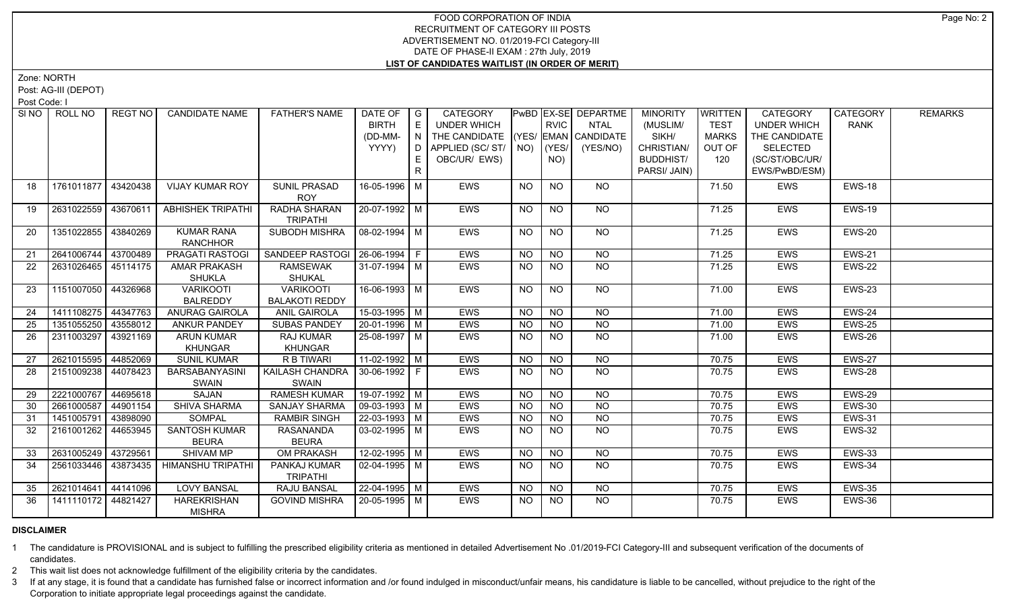Zone: NORTH

Post: AG-III (DEPOT)

Post Code: I

| SI <sub>NO</sub> | ROLL NO             | REGT NO  | <b>CANDIDATE NAME</b>                 | <b>FATHER'S NAME</b>                      | DATE OF   G<br><b>BIRTH</b><br>(DD-MM-<br>YYYY) | E       | <b>CATEGORY</b><br>UNDER WHICH<br>$\mid N \mid$ THE CANDIDATE $\mid$ (YES/ EMAN $\mid$ CANDIDATE<br>D APPLIED (SC/ ST/   NO) |           | <b>RVIC</b><br> YES | <b>PwBD EX-SE DEPARTME</b><br>NTAL<br>(YES/NO) | <b>MINORITY</b><br>(MUSLIM/<br>SIKH/<br>CHRISTIAN/ | <b>WRITTEN</b><br><b>TEST</b><br><b>MARKS</b><br>OUT OF | <b>CATEGORY</b><br><b>UNDER WHICH</b><br>THE CANDIDATE<br>SELECTED | CATEGORY<br><b>RANK</b> | <b>REMARKS</b> |
|------------------|---------------------|----------|---------------------------------------|-------------------------------------------|-------------------------------------------------|---------|------------------------------------------------------------------------------------------------------------------------------|-----------|---------------------|------------------------------------------------|----------------------------------------------------|---------------------------------------------------------|--------------------------------------------------------------------|-------------------------|----------------|
|                  |                     |          |                                       |                                           |                                                 | E.<br>R | OBC/UR/ EWS)                                                                                                                 |           | NO)                 |                                                | <b>BUDDHIST/</b><br>PARSI/ JAIN)                   | 120                                                     | (SC/ST/OBC/UR/<br>EWS/PwBD/ESM)                                    |                         |                |
| 18               | 1761011877 43420438 |          | <b>VIJAY KUMAR ROY</b>                | <b>SUNIL PRASAD</b><br><b>ROY</b>         | 16-05-1996 M                                    |         | <b>EWS</b>                                                                                                                   | <b>NO</b> | <b>NO</b>           | NO                                             |                                                    | 71.50                                                   | EWS                                                                | <b>EWS-18</b>           |                |
| 19               | 2631022559 43670611 |          | <b>ABHISHEK TRIPATHI</b>              | RADHA SHARAN<br><b>TRIPATHI</b>           | 20-07-1992 M                                    |         | EWS                                                                                                                          | <b>NO</b> | <b>NO</b>           | NO.                                            |                                                    | 71.25                                                   | EWS                                                                | <b>EWS-19</b>           |                |
| 20               | 1351022855 43840269 |          | <b>KUMAR RANA</b><br><b>RANCHHOR</b>  | SUBODH MISHRA                             | 08-02-1994   M                                  |         | <b>EWS</b>                                                                                                                   | NO.       | <b>NO</b>           | NO                                             |                                                    | 71.25                                                   | <b>EWS</b>                                                         | EWS-20                  |                |
| 21               | 2641006744 43700489 |          | <b>PRAGATI RASTOGI</b>                | SANDEEP RASTOGI   26-06-1994   F          |                                                 |         | <b>EWS</b>                                                                                                                   | <b>NO</b> | <b>NO</b>           | N <sub>O</sub>                                 |                                                    | 71.25                                                   | EWS                                                                | <b>EWS-21</b>           |                |
| 22               | 2631026465 45114175 |          | <b>AMAR PRAKASH</b><br><b>SHUKLA</b>  | <b>RAMSEWAK</b><br>SHUKAL                 | 31-07-1994   M                                  |         | <b>EWS</b>                                                                                                                   | NO.       | NO.                 | NO                                             |                                                    | 71.25                                                   | <b>EWS</b>                                                         | <b>EWS-22</b>           |                |
| 23               | 1151007050 44326968 |          | <b>VARIKOOTI</b><br><b>BALREDDY</b>   | <b>VARIKOOTI</b><br><b>BALAKOTI REDDY</b> | $16-06-1993$ M                                  |         | <b>EWS</b>                                                                                                                   | <b>NO</b> | <b>NO</b>           | $N$ <sup>O</sup>                               |                                                    | 71.00                                                   | EWS                                                                | <b>EWS-23</b>           |                |
| 24               | 1411108275 44347763 |          | <b>ANURAG GAIROLA</b>                 | <b>ANIL GAIROLA</b>                       | $15-03-1995$ M                                  |         | <b>EWS</b>                                                                                                                   | <b>NO</b> | <b>NO</b>           | NO                                             |                                                    | 71.00                                                   | <b>EWS</b>                                                         | <b>EWS-24</b>           |                |
| 25               | 1351055250 43558012 |          | <b>ANKUR PANDEY</b>                   | <b>SUBAS PANDEY</b>                       | 20-01-1996 M                                    |         | EWS                                                                                                                          | <b>NO</b> | <b>NO</b>           | <b>NO</b>                                      |                                                    | 71.00                                                   | EWS                                                                | <b>EWS-25</b>           |                |
| 26               | 2311003297          | 43921169 | <b>ARUN KUMAR</b><br>KHUNGAR          | RAJ KUMAR<br><b>KHUNGAR</b>               | 25-08-1997   M                                  |         | <b>EWS</b>                                                                                                                   | <b>NO</b> | NO.                 | <b>NO</b>                                      |                                                    | 71.00                                                   | <b>EWS</b>                                                         | EWS-26                  |                |
| 27               | 2621015595 44852069 |          | <b>SUNIL KUMAR</b>                    | R B TIWARI                                | $11-02-1992$ M                                  |         | <b>EWS</b>                                                                                                                   | <b>NO</b> | <b>NO</b>           | <b>NO</b>                                      |                                                    | 70.75                                                   | EWS                                                                | <b>EWS-27</b>           |                |
| 28               | 2151009238 44078423 |          | <b>BARSABANYASINI</b><br><b>SWAIN</b> | KAILASH CHANDRA<br>SWAIN                  | $30 - 06 - 1992$ F                              |         | <b>EWS</b>                                                                                                                   | <b>NO</b> | <b>NO</b>           | <b>NO</b>                                      |                                                    | 70.75                                                   | <b>EWS</b>                                                         | EWS-28                  |                |
| 29               | 2221000767 44695618 |          | <b>SAJAN</b>                          | <b>RAMESH KUMAR</b>                       | $19-07-1992$ M                                  |         | <b>EWS</b>                                                                                                                   | <b>NO</b> | <b>NO</b>           | $\overline{NO}$                                |                                                    | 70.75                                                   | EWS                                                                | <b>EWS-29</b>           |                |
| 30               | 2661000587 44901154 |          | <b>SHIVA SHARMA</b>                   | <b>SANJAY SHARMA</b>                      | 09-03-1993   M                                  |         | <b>EWS</b>                                                                                                                   | <b>NO</b> | NO                  | $\overline{NO}$                                |                                                    | 70.75                                                   | <b>EWS</b>                                                         | <b>EWS-30</b>           |                |
| 31               | 1451005791 43898090 |          | <b>SOMPAL</b>                         | <b>RAMBIR SINGH</b>                       | 22-03-1993 M                                    |         | EWS                                                                                                                          | <b>NO</b> | <b>NO</b>           | $\overline{NQ}$                                |                                                    | 70.75                                                   | EWS                                                                | <b>EWS-31</b>           |                |
| 32               | 2161001262 44653945 |          | <b>SANTOSH KUMAR</b><br><b>BEURA</b>  | <b>RASANANDA</b><br><b>BEURA</b>          | 03-02-1995   M                                  |         | <b>EWS</b>                                                                                                                   | NO.       | NO.                 | <b>NO</b>                                      |                                                    | 70.75                                                   | <b>EWS</b>                                                         | <b>EWS-32</b>           |                |
| 33               | 2631005249 43729561 |          | SHIVAM MP                             | <b>OM PRAKASH</b>                         | $12 - 02 - 1995$ M                              |         | EWS                                                                                                                          | <b>NO</b> | <b>NO</b>           | <b>NO</b>                                      |                                                    | 70.75                                                   | EWS                                                                | <b>EWS-33</b>           |                |
| 34               | 2561033446          | 43873435 | <b>HIMANSHU TRIPATHI</b>              | PANKAJ KUMAR<br><b>TRIPATHI</b>           | 02-04-1995   M                                  |         | <b>EWS</b>                                                                                                                   | <b>NO</b> | <b>NO</b>           | NO                                             |                                                    | 70.75                                                   | <b>EWS</b>                                                         | EWS-34                  |                |
| 35               | 2621014641 44141096 |          | <b>LOVY BANSAL</b>                    | <b>RAJU BANSAL</b>                        | 22-04-1995 M                                    |         | EWS                                                                                                                          | <b>NO</b> | <b>NO</b>           | <b>NO</b>                                      |                                                    | 70.75                                                   | EWS                                                                | <b>EWS-35</b>           |                |
| 36               | 1411110172 44821427 |          | <b>HAREKRISHAN</b><br><b>MISHRA</b>   | <b>GOVIND MISHRA</b>                      | 20-05-1995   M                                  |         | <b>EWS</b>                                                                                                                   | NO        | <b>NO</b>           | NO                                             |                                                    | 70.75                                                   | EWS                                                                | <b>EWS-36</b>           |                |

# **DISCLAIMER**

1 The candidature is PROVISIONAL and is subject to fulfilling the prescribed eligibility criteria as mentioned in detailed Advertisement No .01/2019-FCI Category-III and subsequent verification of the documents of candidates.

2 This wait list does not acknowledge fulfillment of the eligibility criteria by the candidates.

3 If at any stage, it is found that a candidate has furnished false or incorrect information and /or found indulged in misconduct/unfair means, his candidature is liable to be cancelled, without prejudice to the right of t Corporation to initiate appropriate legal proceedings against the candidate.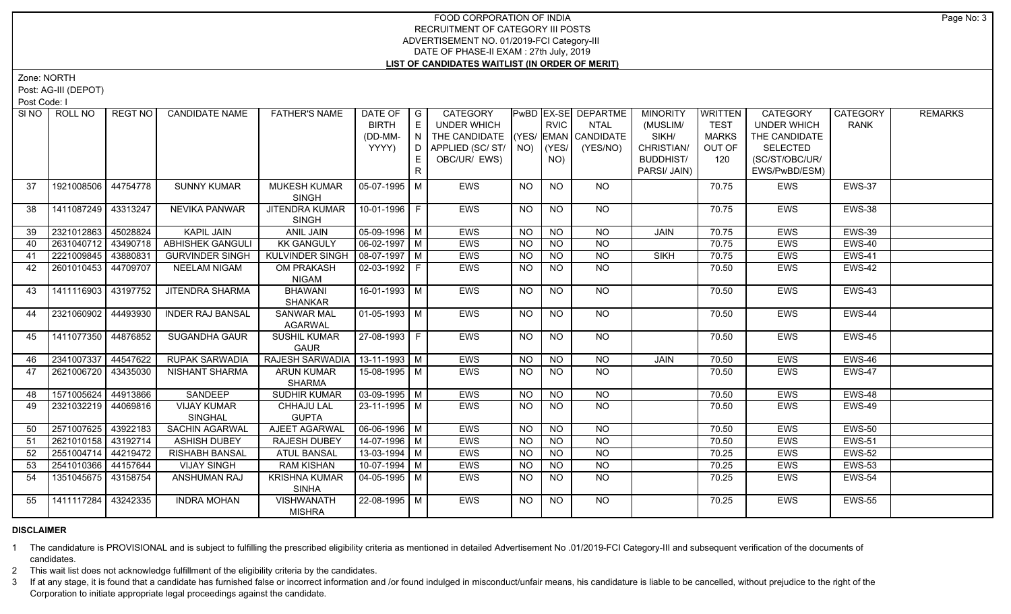Zone: NORTH

Post: AG-III (DEPOT)

Post Code: I

|    | SINO   ROLL NO      | REGT NO  | <b>CANDIDATE NAME</b>                | <b>FATHER'S NAME</b>                 | DATE OF<br><b>BIRTH</b><br>(DD-MM-<br>YYYY) | $\overline{\phantom{a}}$ G<br>$\mathsf{E}% _{\mathsf{H}}$<br>$\mathsf{I} \ \mathsf{N} \ \mathsf{I}$<br>D<br>E | <b>CATEGORY</b><br>UNDER WHICH<br>THE CANDIDATE (YES/ EMAN CANDIDATE<br>APPLIED (SC/ST/<br>OBC/UR/ EWS) |                | <b>RVIC</b><br>$NO)$ $(YES/$<br>NO) | PwBD   EX-SE   DEPARTME<br><b>NTAL</b><br>(YES/NO) | <b>MINORITY</b><br>(MUSLIM/<br>SIKH/<br>CHRISTIAN/<br><b>BUDDHIST/</b> | <b>WRITTEN</b><br><b>TEST</b><br>MARKS<br>OUT OF<br>120 | <b>CATEGORY</b><br><b>UNDER WHICH</b><br>THE CANDIDATE<br><b>SELECTED</b><br>(SC/ST/OBC/UR/ | CATEGORY<br><b>RANK</b> | <b>REMARKS</b> |
|----|---------------------|----------|--------------------------------------|--------------------------------------|---------------------------------------------|---------------------------------------------------------------------------------------------------------------|---------------------------------------------------------------------------------------------------------|----------------|-------------------------------------|----------------------------------------------------|------------------------------------------------------------------------|---------------------------------------------------------|---------------------------------------------------------------------------------------------|-------------------------|----------------|
|    |                     |          |                                      |                                      |                                             | $\mathsf{R}$                                                                                                  |                                                                                                         |                |                                     |                                                    | PARSI/ JAIN)                                                           |                                                         | EWS/PwBD/ESM)                                                                               |                         |                |
| 37 | 1921008506 44754778 |          | <b>SUNNY KUMAR</b>                   | <b>MUKESH KUMAR</b><br><b>SINGH</b>  | $05-07-1995$ M                              |                                                                                                               | <b>EWS</b>                                                                                              | NO             | <b>NO</b>                           | NO.                                                |                                                                        | 70.75                                                   | <b>EWS</b>                                                                                  | EWS-37                  |                |
| 38 | 1411087249 43313247 |          | <b>NEVIKA PANWAR</b>                 | <b>JITENDRA KUMAR</b><br>SINGH       | 10-01-1996 F                                |                                                                                                               | EWS                                                                                                     | NO.            | <b>NO</b>                           | <b>NO</b>                                          |                                                                        | 70.75                                                   | EWS                                                                                         | <b>EWS-38</b>           |                |
| 39 | 2321012863          | 45028824 | <b>KAPIL JAIN</b>                    | <b>ANIL JAIN</b>                     | 05-09-1996 M                                |                                                                                                               | EWS                                                                                                     | NO             | $\overline{N}$                      | <b>NO</b>                                          | JAIN                                                                   | 70.75                                                   | <b>EWS</b>                                                                                  | <b>EWS-39</b>           |                |
| 40 | 2631040712          | 43490718 | <b>ABHISHEK GANGULI</b>              | <b>KK GANGULY</b>                    | $06 - 02 - 1997$ M                          |                                                                                                               | EWS                                                                                                     | <b>NO</b>      | <b>NO</b>                           | $\overline{NO}$                                    |                                                                        | 70.75                                                   | <b>EWS</b>                                                                                  | EWS-40                  |                |
| 41 | 2221009845 43880831 |          | <b>GURVINDER SINGH</b>               | <b>KULVINDER SINGH</b>               | $08-07-1997$ M                              |                                                                                                               | EWS                                                                                                     | $\overline{N}$ | $\overline{N}$                      | $\overline{NO}$                                    | <b>SIKH</b>                                                            | 70.75                                                   | <b>EWS</b>                                                                                  | <b>EWS-41</b>           |                |
| 42 | 2601010453 44709707 |          | <b>NEELAM NIGAM</b>                  | <b>OM PRAKASH</b><br><b>NIGAM</b>    | $02-03-1992$   F                            |                                                                                                               | EWS                                                                                                     | NO.            | <b>NO</b>                           | $\overline{NQ}$                                    |                                                                        | 70.50                                                   | <b>EWS</b>                                                                                  | EWS-42                  |                |
| 43 | 1411116903 43197752 |          | <b>JITENDRA SHARMA</b>               | <b>BHAWANI</b><br><b>SHANKAR</b>     | 16-01-1993 M                                |                                                                                                               | EWS                                                                                                     | N <sub>O</sub> | N <sub>O</sub>                      | $N$ <sup>O</sup>                                   |                                                                        | 70.50                                                   | <b>EWS</b>                                                                                  | EWS-43                  |                |
| 44 | 2321060902          | 44493930 | <b>INDER RAJ BANSAL</b>              | <b>SANWAR MAL</b><br><b>AGARWAL</b>  | $01-05-1993$ M                              |                                                                                                               | <b>EWS</b>                                                                                              | NO             | <b>NO</b>                           | NO                                                 |                                                                        | 70.50                                                   | <b>EWS</b>                                                                                  | EWS-44                  |                |
| 45 | 1411077350 44876852 |          | SUGANDHA GAUR                        | <b>SUSHIL KUMAR</b><br><b>GAUR</b>   | 27-08-1993 F                                |                                                                                                               | EWS                                                                                                     | NO.            | <b>NO</b>                           | NO                                                 |                                                                        | 70.50                                                   | <b>EWS</b>                                                                                  | EWS-45                  |                |
| 46 | 2341007337          | 44547622 | <b>RUPAK SARWADIA</b>                | RAJESH SARWADIA                      | $13-11-1993$ M                              |                                                                                                               | <b>EWS</b>                                                                                              | <b>NO</b>      | <b>NO</b>                           | <b>NO</b>                                          | JAIN                                                                   | 70.50                                                   | <b>EWS</b>                                                                                  | <b>EWS-46</b>           |                |
| 47 | 2621006720          | 43435030 | <b>NISHANT SHARMA</b>                | <b>ARUN KUMAR</b><br><b>SHARMA</b>   | 15-08-1995   M                              |                                                                                                               | EWS                                                                                                     | NO.            | <b>NO</b>                           | <b>NO</b>                                          |                                                                        | 70.50                                                   | EWS                                                                                         | EWS-47                  |                |
| 48 | 1571005624 44913866 |          | SANDEEP                              | <b>SUDHIR KUMAR</b>                  | $03-09-1995$ M                              |                                                                                                               | <b>EWS</b>                                                                                              | <b>NO</b>      | N <sub>O</sub>                      | $\overline{NQ}$                                    |                                                                        | 70.50                                                   | <b>EWS</b>                                                                                  | <b>EWS-48</b>           |                |
| 49 | 2321032219 44069816 |          | <b>VIJAY KUMAR</b><br><b>SINGHAL</b> | CHHAJU LAL<br><b>GUPTA</b>           | 23-11-1995 M                                |                                                                                                               | <b>EWS</b>                                                                                              | NO.            | <b>NO</b>                           | $\overline{NQ}$                                    |                                                                        | 70.50                                                   | <b>EWS</b>                                                                                  | EWS-49                  |                |
| 50 | 2571007625          | 43922183 | <b>SACHIN AGARWAL</b>                | AJEET AGARWAL                        | $06-06-1996$ M                              |                                                                                                               | <b>EWS</b>                                                                                              | N <sub>O</sub> | N <sub>O</sub>                      | N <sub>O</sub>                                     |                                                                        | 70.50                                                   | <b>EWS</b>                                                                                  | <b>EWS-50</b>           |                |
| 51 | 2621010158 43192714 |          | <b>ASHISH DUBEY</b>                  | <b>RAJESH DUBEY</b>                  | 14-07-1996 M                                |                                                                                                               | <b>EWS</b>                                                                                              | NO.            | N <sub>O</sub>                      | N <sub>O</sub>                                     |                                                                        | 70.50                                                   | <b>EWS</b>                                                                                  | <b>EWS-51</b>           |                |
| 52 | 2551004714          | 44219472 | <b>RISHABH BANSAL</b>                | <b>ATUL BANSAL</b>                   | 13-03-1994   M                              |                                                                                                               | EWS                                                                                                     | <b>NO</b>      | <b>NO</b>                           | N <sub>O</sub>                                     |                                                                        | 70.25                                                   | <b>EWS</b>                                                                                  | <b>EWS-52</b>           |                |
| 53 | 2541010366          | 44157644 | <b>VIJAY SINGH</b>                   | <b>RAM KISHAN</b>                    | $10-07-1994$ M                              |                                                                                                               | <b>EWS</b>                                                                                              | <b>NO</b>      | <b>NO</b>                           | N <sub>O</sub>                                     |                                                                        | 70.25                                                   | <b>EWS</b>                                                                                  | <b>EWS-53</b>           |                |
| 54 | 1351045675          | 43158754 | ANSHUMAN RAJ                         | <b>KRISHNA KUMAR</b><br><b>SINHA</b> | $04 - 05 - 1995$ M                          |                                                                                                               | <b>EWS</b>                                                                                              | <b>NO</b>      | $\overline{NO}$                     | N <sub>O</sub>                                     |                                                                        | 70.25                                                   | EWS                                                                                         | <b>EWS-54</b>           |                |
| 55 | 1411117284          | 43242335 | <b>INDRA MOHAN</b>                   | <b>VISHWANATH</b><br><b>MISHRA</b>   | 22-08-1995 M                                |                                                                                                               | <b>EWS</b>                                                                                              | NO             | N <sub>O</sub>                      | N <sub>O</sub>                                     |                                                                        | 70.25                                                   | <b>EWS</b>                                                                                  | <b>EWS-55</b>           |                |

# **DISCLAIMER**

1 The candidature is PROVISIONAL and is subject to fulfilling the prescribed eligibility criteria as mentioned in detailed Advertisement No .01/2019-FCI Category-III and subsequent verification of the documents of candidates.

2 This wait list does not acknowledge fulfillment of the eligibility criteria by the candidates.

3 If at any stage, it is found that a candidate has furnished false or incorrect information and /or found indulged in misconduct/unfair means, his candidature is liable to be cancelled, without prejudice to the right of t Corporation to initiate appropriate legal proceedings against the candidate.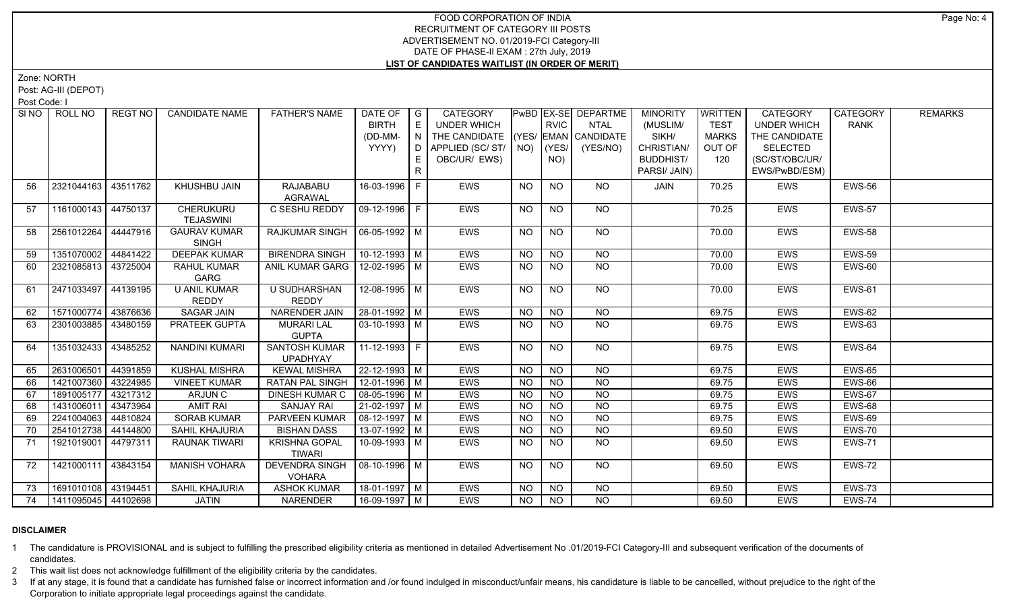Zone: NORTH

Post: AG-III (DEPOT)

Post Code: I

| SI NO | ROLL NO             | REGT NO  | <b>CANDIDATE NAME</b> | <b>FATHER'S NAME</b>             | DATE OF   G           |     | CATEGORY                           |           |                 | <b>PWBD EX-SE DEPARTME</b> | <b>MINORITY</b>  | <b>WRITTEN</b> | <b>CATEGORY</b>    | CATEGORY      | <b>REMARKS</b> |
|-------|---------------------|----------|-----------------------|----------------------------------|-----------------------|-----|------------------------------------|-----------|-----------------|----------------------------|------------------|----------------|--------------------|---------------|----------------|
|       |                     |          |                       |                                  | <b>BIRTH</b>          | E   | <b>UNDER WHICH</b>                 |           | <b>RVIC</b>     | <b>NTAL</b>                | (MUSLIM/         | <b>TEST</b>    | <b>UNDER WHICH</b> | <b>RANK</b>   |                |
|       |                     |          |                       |                                  | (DD-MM-               | IN. | THE CANDIDATE (YES/ EMAN CANDIDATE |           |                 |                            | SIKH/            | <b>MARKS</b>   | THE CANDIDATE      |               |                |
|       |                     |          |                       |                                  | YYYY)                 | D.  | APPLIED (SC/ST/ $\vert$ NO)        |           | (YES/           | (YES/NO)                   | CHRISTIAN/       | OUT OF         | <b>SELECTED</b>    |               |                |
|       |                     |          |                       |                                  |                       | E   | OBC/UR/ EWS)                       |           | NO)             |                            | <b>BUDDHIST/</b> | 120            | (SC/ST/OBC/UR/     |               |                |
|       |                     |          |                       |                                  |                       | R   |                                    |           |                 |                            | PARSI/ JAIN)     |                | EWS/PwBD/ESM)      |               |                |
| 56    | 2321044163          | 43511762 | KHUSHBU JAIN          | RAJABABU                         | 16-03-1996 F          |     | <b>EWS</b>                         | <b>NO</b> | <b>NO</b>       | NO.                        | JAIN             | 70.25          | EWS                | <b>EWS-56</b> |                |
|       |                     |          |                       | AGRAWAL                          |                       |     |                                    |           |                 |                            |                  |                |                    |               |                |
| 57    | 1161000143          | 44750137 | <b>CHERUKURU</b>      | C SESHU REDDY                    | 09-12-1996 F          |     | <b>EWS</b>                         | NO.       | <b>NO</b>       | NO.                        |                  | 70.25          | <b>EWS</b>         | <b>EWS-57</b> |                |
|       |                     |          | <b>TEJASWINI</b>      |                                  |                       |     |                                    |           |                 |                            |                  |                |                    |               |                |
| 58    | 2561012264          | 44447916 | <b>GAURAV KUMAR</b>   | RAJKUMAR SINGH                   | $ 06-05-1992 M$       |     | <b>EWS</b>                         | <b>NO</b> | <b>NO</b>       | NO                         |                  | 70.00          | <b>EWS</b>         | <b>EWS-58</b> |                |
|       |                     |          | <b>SINGH</b>          |                                  |                       |     |                                    |           |                 |                            |                  |                |                    |               |                |
| 59    | 1351070002 44841422 |          | <b>DEEPAK KUMAR</b>   | <b>BIRENDRA SINGH</b>            | 10-12-1993   M        |     | <b>EWS</b>                         | <b>NO</b> | N <sub>O</sub>  | <b>NO</b>                  |                  | 70.00          | EWS                | <b>EWS-59</b> |                |
| 60    | 2321085813 43725004 |          | <b>RAHUL KUMAR</b>    | ANIL KUMAR GARG   12-02-1995   M |                       |     | <b>EWS</b>                         | <b>NO</b> | $\overline{NO}$ | $\overline{NO}$            |                  | 70.00          | EWS                | <b>EWS-60</b> |                |
|       |                     |          | GARG                  |                                  |                       |     |                                    |           |                 |                            |                  |                |                    |               |                |
| 61    | 2471033497          | 44139195 | <b>U ANIL KUMAR</b>   | <b>U SUDHARSHAN</b>              | $12-08-1995$ M        |     | <b>EWS</b>                         | <b>NO</b> | NO.             | NO                         |                  | 70.00          | <b>EWS</b>         | <b>EWS-61</b> |                |
|       |                     |          | REDDY                 | <b>REDDY</b>                     |                       |     |                                    |           |                 |                            |                  |                |                    |               |                |
| 62    | 1571000774          | 43876636 | SAGAR JAIN            | NARENDER JAIN                    | 28-01-1992 M          |     | <b>EWS</b>                         | <b>NO</b> | <b>NO</b>       | NO                         |                  | 69.75          | EWS                | <b>EWS-62</b> |                |
| 63    | 2301003885          | 43480159 | PRATEEK GUPTA         | <b>MURARI LAL</b>                | 03-10-1993   M        |     | EWS                                | <b>NO</b> | <b>NO</b>       | NO                         |                  | 69.75          | EWS                | <b>EWS-63</b> |                |
|       |                     |          |                       | <b>GUPTA</b>                     |                       |     |                                    |           |                 |                            |                  |                |                    |               |                |
| 64    | 1351032433          | 43485252 | <b>NANDINI KUMARI</b> | <b>SANTOSH KUMAR</b>             | $11-12-1993$ F        |     | EWS                                | <b>NO</b> | <b>NO</b>       | <b>NO</b>                  |                  | 69.75          | EWS                | <b>EWS-64</b> |                |
|       |                     |          |                       | <b>UPADHYAY</b>                  |                       |     |                                    |           |                 |                            |                  |                |                    |               |                |
| 65    | 2631006501          | 44391859 | <b>KUSHAL MISHRA</b>  | <b>KEWAL MISHRA</b>              | 22-12-1993 M          |     | <b>EWS</b>                         | <b>NO</b> | $\overline{NO}$ | $\overline{NO}$            |                  | 69.75          | <b>EWS</b>         | <b>EWS-65</b> |                |
| 66    | 1421007360          | 43224985 | <b>VINEET KUMAR</b>   | <b>RATAN PAL SINGH</b>           | 12-01-1996 M          |     | <b>EWS</b>                         | NO.       | <b>NO</b>       | <b>NO</b>                  |                  | 69.75          | EWS                | EWS-66        |                |
| 67    | 1891005177          | 43217312 | ARJUN C               | <b>DINESH KUMAR C</b>            | 08-05-1996 M          |     | <b>EWS</b>                         | <b>NO</b> | <b>NO</b>       | <b>NO</b>                  |                  | 69.75          | EWS                | <b>EWS-67</b> |                |
| 68    | 1431006011          | 43473964 | <b>AMIT RAI</b>       | <b>SANJAY RAI</b>                | $21-02-1997$ M        |     | <b>EWS</b>                         | <b>NO</b> | $\overline{NO}$ | $\overline{NQ}$            |                  | 69.75          | <b>EWS</b>         | <b>EWS-68</b> |                |
| 69    | 2241004063          | 44810824 | <b>SORAB KUMAR</b>    | PARVEEN KUMAR                    | 08-12-1997   M        |     | <b>EWS</b>                         | NO.       | <b>NO</b>       | <b>NO</b>                  |                  | 69.75          | <b>EWS</b>         | EWS-69        |                |
| 70    | 2541012738          | 44144800 | SAHIL KHAJURIA        | <b>BISHAN DASS</b>               | 13-07-1992 M          |     | <b>EWS</b>                         | <b>NO</b> | <b>NO</b>       | <b>NO</b>                  |                  | 69.50          | EWS                | <b>EWS-70</b> |                |
| 71    | 1921019001 44797311 |          | RAUNAK TIWARI         | <b>KRISHNA GOPAL</b>             | 10-09-1993 M          |     | <b>EWS</b>                         | <b>NO</b> | NO.             | NO                         |                  | 69.50          | <b>EWS</b>         | <b>EWS-71</b> |                |
|       |                     |          |                       | <b>TIWARI</b>                    |                       |     |                                    |           |                 |                            |                  |                |                    |               |                |
| 72    | 1421000111 43843154 |          | <b>MANISH VOHARA</b>  | <b>DEVENDRA SINGH</b>            | $\sqrt{08-10-1996}$ M |     | <b>EWS</b>                         | <b>NO</b> | <b>NO</b>       | NO                         |                  | 69.50          | <b>EWS</b>         | EWS-72        |                |
|       |                     |          |                       | <b>VOHARA</b>                    |                       |     |                                    |           |                 |                            |                  |                |                    |               |                |
| 73    | 1691010108 43194451 |          | SAHIL KHAJURIA        | <b>ASHOK KUMAR</b>               | 18-01-1997   M        |     | <b>EWS</b>                         | <b>NO</b> | <b>NO</b>       | <b>NO</b>                  |                  | 69.50          | EWS                | <b>EWS-73</b> |                |
| 74    | 1411095045 44102698 |          | <b>JATIN</b>          | NARENDER                         | 16-09-1997 M          |     | <b>EWS</b>                         | <b>NO</b> | $N$ O           | $N$ O                      |                  | 69.50          | <b>EWS</b>         | EWS-74        |                |

# **DISCLAIMER**

1 The candidature is PROVISIONAL and is subject to fulfilling the prescribed eligibility criteria as mentioned in detailed Advertisement No .01/2019-FCI Category-III and subsequent verification of the documents of candidates.

2 This wait list does not acknowledge fulfillment of the eligibility criteria by the candidates.

3 If at any stage, it is found that a candidate has furnished false or incorrect information and /or found indulged in misconduct/unfair means, his candidature is liable to be cancelled, without prejudice to the right of t Corporation to initiate appropriate legal proceedings against the candidate.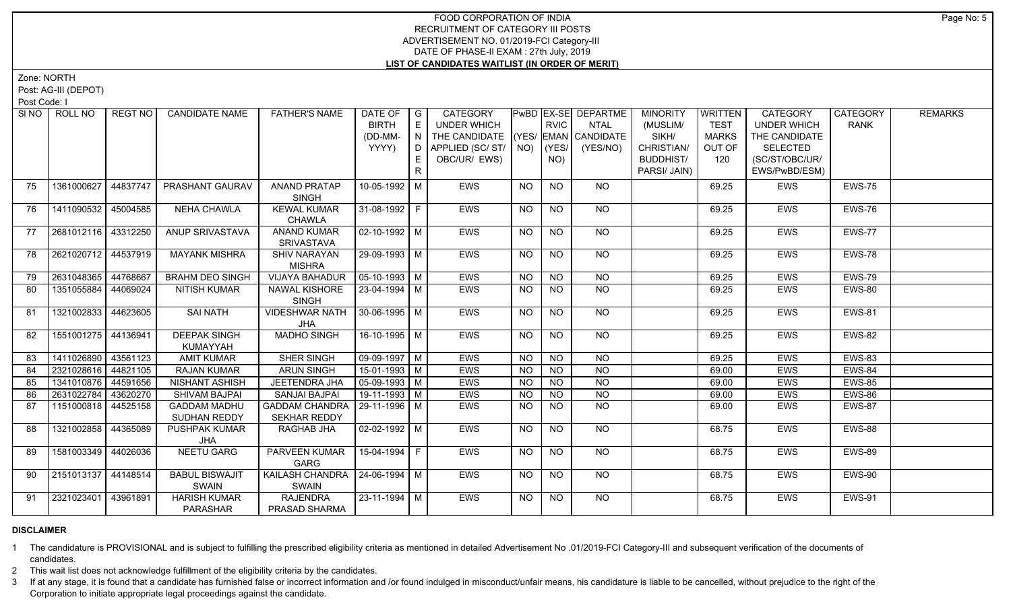Zone: NORTH

Post: AG-III (DEPOT)

Post Code: I

|    | SINO   ROLL NO        | REGT NO  | <b>CANDIDATE NAME</b>               | <b>FATHER'S NAME</b>                                   | DATE OF   G<br><b>BIRTH</b><br>(DD-MM-<br>YYYY) | E<br>$\overline{N}$<br>D. | CATEGORY<br><b>UNDER WHICH</b><br>THE CANDIDATE (YES/ EMAN CANDIDATE<br>APPLIED (SC/ ST/   NO) |                | <b>RVIC</b><br>(YES/ | <b>PWBD EX-SE DEPARTME</b><br><b>NTAL</b><br>(YES/NO) | <b>MINORITY</b><br>(MUSLIM/<br>SIKH/<br>CHRISTIAN/ | WRITTEN<br><b>TEST</b><br><b>MARKS</b><br>OUT OF | <b>CATEGORY</b><br><b>UNDER WHICH</b><br>THE CANDIDATE<br><b>SELECTED</b> | CATEGORY<br><b>RANK</b> | <b>REMARKS</b> |
|----|-----------------------|----------|-------------------------------------|--------------------------------------------------------|-------------------------------------------------|---------------------------|------------------------------------------------------------------------------------------------|----------------|----------------------|-------------------------------------------------------|----------------------------------------------------|--------------------------------------------------|---------------------------------------------------------------------------|-------------------------|----------------|
|    |                       |          |                                     |                                                        |                                                 | E<br>R                    | OBC/UR/ EWS)                                                                                   |                | NO)                  |                                                       | <b>BUDDHIST/</b><br>PARSI/ JAIN)                   | 120                                              | (SC/ST/OBC/UR/<br>EWS/PwBD/ESM)                                           |                         |                |
| 75 | 1361000627            | 44837747 | PRASHANT GAURAV                     | <b>ANAND PRATAP</b><br><b>SINGH</b>                    | 10-05-1992 M                                    |                           | <b>EWS</b>                                                                                     | <b>NO</b>      | <b>NO</b>            | <b>NO</b>                                             |                                                    | 69.25                                            | EWS                                                                       | <b>EWS-75</b>           |                |
| 76 | 1411090532            | 45004585 | <b>NEHA CHAWLA</b>                  | <b>KEWAL KUMAR</b><br><b>CHAWLA</b>                    | 31-08-1992 F                                    |                           | EWS                                                                                            | <b>NO</b>      | <b>NO</b>            | NO                                                    |                                                    | 69.25                                            | <b>EWS</b>                                                                | EWS-76                  |                |
| 77 | 2681012116 43312250   |          | ANUP SRIVASTAVA                     | <b>ANAND KUMAR</b><br><b>SRIVASTAVA</b>                | $\vert$ 02-10-1992 $\vert$ M                    |                           | <b>EWS</b>                                                                                     | <b>NO</b>      | <b>NO</b>            | NO                                                    |                                                    | 69.25                                            | <b>EWS</b>                                                                | EWS-77                  |                |
| 78 | 2621020712 44537919   |          | <b>MAYANK MISHRA</b>                | <b>SHIV NARAYAN</b><br><b>MISHRA</b>                   | 29-09-1993 M                                    |                           | EWS                                                                                            | N <sub>O</sub> | $\overline{NO}$      | $N$ <sup>O</sup>                                      |                                                    | 69.25                                            | EWS                                                                       | <b>EWS-78</b>           |                |
| 79 | 2631048365            | 44768667 | <b>BRAHM DEO SINGH</b>              | <b>VIJAYA BAHADUR</b>                                  | $\sqrt{05-10-1993}$ M                           |                           | <b>EWS</b>                                                                                     | <b>NO</b>      | $N$ O                | $N$ O                                                 |                                                    | 69.25                                            | <b>EWS</b>                                                                | <b>EWS-79</b>           |                |
| 80 | 1351055884            | 44069024 | NITISH KUMAR                        | NAWAL KISHORE<br><b>SINGH</b>                          | $23-04-1994$ M                                  |                           | <b>EWS</b>                                                                                     | <b>NO</b>      | NO                   | NO                                                    |                                                    | 69.25                                            | <b>EWS</b>                                                                | <b>EWS-80</b>           |                |
| 81 | 1321002833            | 44623605 | <b>SAI NATH</b>                     | <b>VIDESHWAR NATH</b><br>JHA                           | $30-06-1995$ M                                  |                           | <b>EWS</b>                                                                                     | <b>NO</b>      | <b>NO</b>            | NO.                                                   |                                                    | 69.25                                            | <b>EWS</b>                                                                | <b>EWS-81</b>           |                |
| 82 | 1551001275 44136941   |          | <b>DEEPAK SINGH</b><br>KUMAYYAH     | <b>MADHO SINGH</b>                                     | 16-10-1995 M                                    |                           | <b>EWS</b>                                                                                     | <b>NO</b>      | <b>NO</b>            | NO.                                                   |                                                    | 69.25                                            | <b>EWS</b>                                                                | <b>EWS-82</b>           |                |
| 83 | 1411026890            | 43561123 | <b>AMIT KUMAR</b>                   | <b>SHER SINGH</b>                                      | 09-09-1997   M                                  |                           | <b>EWS</b>                                                                                     | <b>NO</b>      | $\overline{NO}$      | $\overline{NO}$                                       |                                                    | 69.25                                            | EWS                                                                       | <b>EWS-83</b>           |                |
| 84 | 2321028616 44821105   |          | <b>RAJAN KUMAR</b>                  | <b>ARUN SINGH</b>                                      | 15-01-1993 M                                    |                           | <b>EWS</b>                                                                                     | <b>NO</b>      | <b>NO</b>            | $\overline{NO}$                                       |                                                    | 69.00                                            | <b>EWS</b>                                                                | EWS-84                  |                |
| 85 | 1341010876 44591656   |          | NISHANT ASHISH                      | <b>JEETENDRA JHA</b>                                   | $\boxed{05-09-1993}$ M                          |                           | <b>EWS</b>                                                                                     | <b>NO</b>      | <b>NO</b>            | $\overline{NQ}$                                       |                                                    | 69.00                                            | <b>EWS</b>                                                                | <b>EWS-85</b>           |                |
| 86 | 2631022784            | 43620270 | <b>SHIVAM BAJPAI</b>                | <b>SANJAI BAJPAI</b>                                   | 19-11-1993   M                                  |                           | <b>EWS</b>                                                                                     | <b>NO</b>      | <b>NO</b>            | NO                                                    |                                                    | 69.00                                            | <b>EWS</b>                                                                | EWS-86                  |                |
| 87 | 1151000818 44525158   |          | <b>GADDAM MADHU</b><br>SUDHAN REDDY | GADDAM CHANDRA   29-11-1996   M<br><b>SEKHAR REDDY</b> |                                                 |                           | <b>EWS</b>                                                                                     | NO.            | NO.                  | NO                                                    |                                                    | 69.00                                            | <b>EWS</b>                                                                | <b>EWS-87</b>           |                |
| 88 | 1321002858            | 44365089 | <b>PUSHPAK KUMAR</b><br>JHA         | RAGHAB JHA                                             | $02 - 02 - 1992$ M                              |                           | <b>EWS</b>                                                                                     | NO.            | <b>NO</b>            | NO                                                    |                                                    | 68.75                                            | <b>EWS</b>                                                                | EWS-88                  |                |
| 89 | 1581003349 44026036   |          | <b>NEETU GARG</b>                   | PARVEEN KUMAR<br>GARG                                  | 15-04-1994 F                                    |                           | EWS                                                                                            | <b>NO</b>      | NO                   | NO.                                                   |                                                    | 68.75                                            | <b>EWS</b>                                                                | <b>EWS-89</b>           |                |
| 90 | 2151013137   44148514 |          | <b>BABUL BISWAJIT</b><br>SWAIN      | KAILASH CHANDRA   24-06-1994   M<br>SWAIN              |                                                 |                           | <b>EWS</b>                                                                                     | NO.            | NO.                  | NO.                                                   |                                                    | 68.75                                            | <b>EWS</b>                                                                | EWS-90                  |                |
| 91 | 2321023401            | 43961891 | <b>HARISH KUMAR</b><br>PARASHAR     | <b>RAJENDRA</b><br>PRASAD SHARMA                       | 23-11-1994 M                                    |                           | <b>EWS</b>                                                                                     | <b>NO</b>      | <b>NO</b>            | NO.                                                   |                                                    | 68.75                                            | <b>EWS</b>                                                                | <b>EWS-91</b>           |                |

# **DISCLAIMER**

1 The candidature is PROVISIONAL and is subject to fulfilling the prescribed eligibility criteria as mentioned in detailed Advertisement No .01/2019-FCI Category-III and subsequent verification of the documents of candidates.

2 This wait list does not acknowledge fulfillment of the eligibility criteria by the candidates.

3 If at any stage, it is found that a candidate has furnished false or incorrect information and /or found indulged in misconduct/unfair means, his candidature is liable to be cancelled, without prejudice to the right of t Corporation to initiate appropriate legal proceedings against the candidate.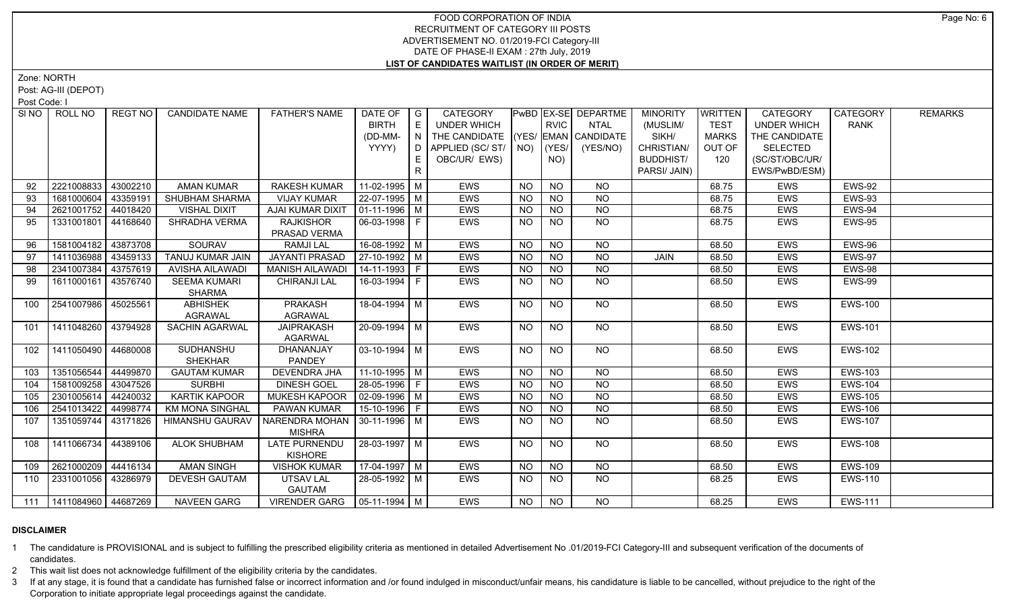Zone: NORTH

Post: AG-III (DEPOT)

Post Code: I

|     | SI NO   ROLL NO             | REGT NO  | <b>CANDIDATE NAME</b>  | <b>FATHER'S NAME</b>                  | DATE OF   G        |     | CATEGORY                           |           |                | <b>PwBD EX-SE DEPARTME</b> | <b>MINORITY</b> | <b>WRITTEN</b> | <b>CATEGORY</b>    | CATEGORY       | <b>REMARKS</b> |
|-----|-----------------------------|----------|------------------------|---------------------------------------|--------------------|-----|------------------------------------|-----------|----------------|----------------------------|-----------------|----------------|--------------------|----------------|----------------|
|     |                             |          |                        |                                       | <b>BIRTH</b>       | E   | UNDER WHICH                        |           | <b>RVIC</b>    | NTAL                       | (MUSLIM/        | <b>TEST</b>    | <b>UNDER WHICH</b> | <b>RANK</b>    |                |
|     |                             |          |                        |                                       | (DD-MM-            | N I | THE CANDIDATE (YES/ EMAN CANDIDATE |           |                |                            | SIKH/           | <b>MARKS</b>   | THE CANDIDATE      |                |                |
|     |                             |          |                        |                                       | YYYY)              | D   | APPLIED (SC/ ST/   NO)             |           | (YES/          | (YES/NO)                   | CHRISTIAN/      | OUT OF         | <b>SELECTED</b>    |                |                |
|     |                             |          |                        |                                       |                    |     | OBC/UR/ EWS)                       |           | NO)            |                            | BUDDHIST/       | 120            | (SC/ST/OBC/UR/     |                |                |
|     |                             |          |                        |                                       |                    | R.  |                                    |           |                |                            | PARSI/ JAIN)    |                | EWS/PwBD/ESM)      |                |                |
| 92  | 2221008833                  | 43002210 | <b>AMAN KUMAR</b>      | <b>RAKESH KUMAR</b>                   | 11-02-1995   M     |     | <b>EWS</b>                         | NO.       | <b>NO</b>      | <b>NO</b>                  |                 | 68.75          | <b>EWS</b>         | <b>EWS-92</b>  |                |
| 93  | 1681000604                  | 43359191 | <b>SHUBHAM SHARMA</b>  | <b>VIJAY KUMAR</b>                    | 22-07-1995 M       |     | <b>EWS</b>                         | <b>NO</b> | NO             | NO.                        |                 | 68.75          | <b>EWS</b>         | <b>EWS-93</b>  |                |
| 94  | 2621001752                  | 44018420 | <b>VISHAL DIXIT</b>    | AJAI KUMAR DIXIT                      | $ 01-11-1996 M$    |     | EWS                                | <b>NO</b> | <b>NO</b>      | <b>NO</b>                  |                 | 68.75          | EWS                | EWS-94         |                |
| 95  | 1331001801                  | 44168640 | SHRADHA VERMA          | <b>RAJKISHOR</b>                      | 06-03-1998 F       |     | EWS                                | NO.       | <b>NO</b>      | $N$ O                      |                 | 68.75          | <b>EWS</b>         | <b>EWS-95</b>  |                |
|     |                             |          |                        | PRASAD VERMA                          |                    |     |                                    |           |                |                            |                 |                |                    |                |                |
| 96  | 1581004182                  | 43873708 | SOURAV                 | <b>RAMJILAL</b>                       | 16-08-1992 M       |     | EWS                                | <b>NO</b> | <b>NO</b>      | NO.                        |                 | 68.50          | <b>EWS</b>         | EWS-96         |                |
| 97  | 1411036988                  | 43459133 | TANUJ KUMAR JAIN       | <b>JAYANTI PRASAD</b>                 | 27-10-1992 M       |     | EWS                                | <b>NO</b> | <b>NO</b>      | NO.                        | <b>JAIN</b>     | 68.50          | EWS                | <b>EWS-97</b>  |                |
| 98  | 2341007384                  | 43757619 | AVISHA AILAWADI        | <b>MANISH AILAWADI</b>                | 14-11-1993 F       |     | EWS                                | <b>NO</b> | <b>NO</b>      | <b>NO</b>                  |                 | 68.50          | EWS                | <b>EWS-98</b>  |                |
| 99  | 1611000161                  | 43576740 | <b>SEEMA KUMARI</b>    | <b>CHIRANJI LAL</b>                   | 16-03-1994   F     |     | EWS                                | <b>NO</b> | <b>NO</b>      | <b>NO</b>                  |                 | 68.50          | <b>EWS</b>         | EWS-99         |                |
|     |                             |          | <b>SHARMA</b>          |                                       |                    |     |                                    |           |                |                            |                 |                |                    |                |                |
| 100 | 2541007986                  | 45025561 | <b>ABHISHEK</b>        | PRAKASH                               | 18-04-1994 M       |     | EWS                                | <b>NO</b> | NO.            | NO.                        |                 | 68.50          | <b>EWS</b>         | <b>EWS-100</b> |                |
|     |                             |          | <b>AGRAWAL</b>         | <b>AGRAWAL</b>                        |                    |     |                                    |           |                |                            |                 |                |                    |                |                |
| 101 | 1411048260                  | 43794928 | SACHIN AGARWAL         | <b>JAIPRAKASH</b>                     | $20-09-1994$ M     |     | <b>EWS</b>                         | <b>NO</b> | N <sub>O</sub> | N <sub>O</sub>             |                 | 68.50          | <b>EWS</b>         | <b>EWS-101</b> |                |
|     |                             |          |                        | <b>AGARWAL</b>                        |                    |     |                                    |           |                |                            |                 |                |                    |                |                |
| 102 | 1411050490                  | 44680008 | SUDHANSHU              | DHANANJAY                             | $03 - 10 - 1994$ M |     | EWS                                | NO.       | <b>NO</b>      | NO                         |                 | 68.50          | <b>EWS</b>         | <b>EWS-102</b> |                |
|     |                             |          | <b>SHEKHAR</b>         | PANDEY                                |                    |     |                                    |           |                |                            |                 |                |                    |                |                |
| 103 | 1351056544                  | 44499870 | <b>GAUTAM KUMAR</b>    | DEVENDRA JHA                          | $11-10-1995$ M     |     | EWS                                | <b>NO</b> | <b>NO</b>      | NO.                        |                 | 68.50          | <b>EWS</b>         | <b>EWS-103</b> |                |
| 104 | 1581009258                  | 43047526 | <b>SURBHI</b>          | <b>DINESH GOEL</b>                    | 28-05-1996 F       |     | EWS                                | NO        | $N$ O          | $N$ O                      |                 | 68.50          | EWS                | <b>EWS-104</b> |                |
| 105 | 2301005614                  | 44240032 | <b>KARTIK KAPOOR</b>   | MUKESH KAPOOR                         | $02-09-1996$ M     |     | EWS                                | <b>NO</b> | <b>NO</b>      | N <sub>O</sub>             |                 | 68.50          | <b>EWS</b>         | <b>EWS-105</b> |                |
| 106 | 2541013422                  | 44998774 | <b>KM MONA SINGHAL</b> | PAWAN KUMAR                           | 15-10-1996 F       |     | EWS                                | <b>NO</b> | <b>NO</b>      | <b>NO</b>                  |                 | 68.50          | EWS                | <b>EWS-106</b> |                |
| 107 | 1351059744                  | 43171826 | <b>HIMANSHU GAURAV</b> | NARENDRA MOHAN   30-11-1996   M       |                    |     | <b>EWS</b>                         | NO.       | <b>NO</b>      | NO.                        |                 | 68.50          | <b>EWS</b>         | <b>EWS-107</b> |                |
|     |                             |          |                        | <b>MISHRA</b>                         |                    |     |                                    |           |                |                            |                 |                |                    |                |                |
| 108 | 1411066734                  | 44389106 | <b>ALOK SHUBHAM</b>    | LATE PURNENDU                         | 28-03-1997   M     |     | EWS                                | <b>NO</b> | <b>NO</b>      | <b>NO</b>                  |                 | 68.50          | EWS                | <b>EWS-108</b> |                |
| 109 | 2621000209                  | 44416134 | <b>AMAN SINGH</b>      | <b>KISHORE</b><br><b>VISHOK KUMAR</b> | 17-04-1997   M     |     | EWS                                | NO.       | <b>NO</b>      | NO.                        |                 | 68.50          | <b>EWS</b>         | <b>EWS-109</b> |                |
| 110 | 2331001056                  | 43286979 | <b>DEVESH GAUTAM</b>   | UTSAV LAL                             | 28-05-1992 M       |     | EWS                                | <b>NO</b> | <b>NO</b>      | <b>NO</b>                  |                 | 68.25          | EWS                | <b>EWS-110</b> |                |
|     |                             |          |                        | <b>GAUTAM</b>                         |                    |     |                                    |           |                |                            |                 |                |                    |                |                |
|     | 111   1411084960   44687269 |          | <b>NAVEEN GARG</b>     | VIRENDER GARG   05-11-1994   M        |                    |     | <b>EWS</b>                         | NO.       | NO.            | NO.                        |                 | 68.25          | <b>EWS</b>         | <b>EWS-111</b> |                |
|     |                             |          |                        |                                       |                    |     |                                    |           |                |                            |                 |                |                    |                |                |

# **DISCLAIMER**

1 The candidature is PROVISIONAL and is subject to fulfilling the prescribed eligibility criteria as mentioned in detailed Advertisement No .01/2019-FCI Category-III and subsequent verification of the documents of candidates.

2 This wait list does not acknowledge fulfillment of the eligibility criteria by the candidates.

3 If at any stage, it is found that a candidate has furnished false or incorrect information and /or found indulged in misconduct/unfair means, his candidature is liable to be cancelled, without prejudice to the right of t Corporation to initiate appropriate legal proceedings against the candidate.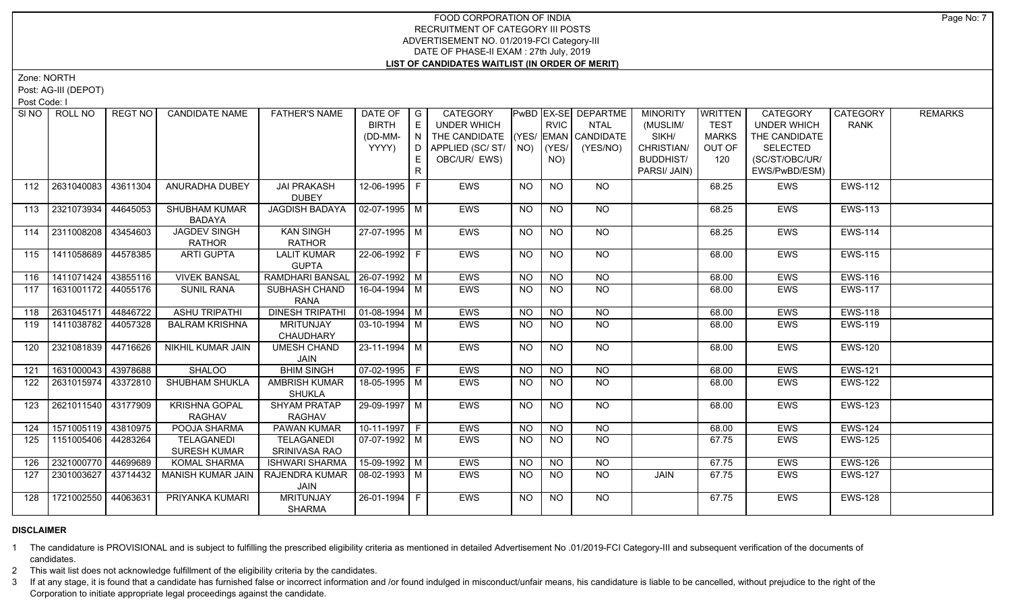Zone: NORTH

Post: AG-III (DEPOT)

Post Code: I

|     | SINO   ROLL NO        | REGT NO  | <b>CANDIDATE NAME</b>    | <b>FATHER'S NAME</b>             | DATE OF   G            |    | <b>CATEGORY</b>                    |                |                | <b>PwBD EX-SE DEPARTME</b> | <b>MINORITY</b>  | <b>WRITTEN</b> | <b>CATEGORY</b>    | CATEGORY       | <b>REMARKS</b> |
|-----|-----------------------|----------|--------------------------|----------------------------------|------------------------|----|------------------------------------|----------------|----------------|----------------------------|------------------|----------------|--------------------|----------------|----------------|
|     |                       |          |                          |                                  | <b>BIRTH</b>           | E  | <b>UNDER WHICH</b>                 |                | <b>RVIC</b>    | <b>NTAL</b>                | (MUSLIM/         | <b>TEST</b>    | <b>UNDER WHICH</b> | <b>RANK</b>    |                |
|     |                       |          |                          |                                  | (DD-MM-                | IN | THE CANDIDATE (YES/ EMAN CANDIDATE |                |                |                            | SIKH/            | <b>MARKS</b>   | THE CANDIDATE      |                |                |
|     |                       |          |                          |                                  | YYYY)                  | D  | APPLIED (SC/ ST/   NO)   (YES/     |                |                | (YES/NO)                   | CHRISTIAN/       | OUT OF         | <b>SELECTED</b>    |                |                |
|     |                       |          |                          |                                  |                        | E. | OBC/UR/ EWS)                       |                | NO)            |                            | <b>BUDDHIST/</b> | 120            | (SC/ST/OBC/UR/     |                |                |
|     |                       |          |                          |                                  |                        | R  |                                    |                |                |                            | PARSI/ JAIN)     |                | EWS/PwBD/ESM)      |                |                |
| 112 | 2631040083            | 43611304 | ANURADHA DUBEY           | <b>JAI PRAKASH</b>               | 12-06-1995 F           |    | EWS                                | NO             | <b>NO</b>      | <b>NO</b>                  |                  | 68.25          | EWS                | <b>EWS-112</b> |                |
|     |                       |          |                          | <b>DUBEY</b>                     |                        |    |                                    |                |                |                            |                  |                |                    |                |                |
| 113 | 2321073934            | 44645053 | <b>SHUBHAM KUMAR</b>     | JAGDISH BADAYA                   | $02-07-1995$ M         |    | EWS                                | <b>NO</b>      | <b>NO</b>      | NO                         |                  | 68.25          | <b>EWS</b>         | <b>EWS-113</b> |                |
|     |                       |          | <b>BADAYA</b>            |                                  |                        |    |                                    |                |                |                            |                  |                |                    |                |                |
|     | 114 2311008208        | 43454603 | <b>JAGDEV SINGH</b>      | <b>KAN SINGH</b>                 | 27-07-1995 M           |    | <b>EWS</b>                         | <b>NO</b>      | <b>NO</b>      | NO                         |                  | 68.25          | <b>EWS</b>         | <b>EWS-114</b> |                |
|     |                       |          | <b>RATHOR</b>            | <b>RATHOR</b>                    |                        |    |                                    |                |                |                            |                  |                |                    |                |                |
| 115 | 1411058689 44578385   |          | <b>ARTI GUPTA</b>        | <b>LALIT KUMAR</b>               | 22-06-1992 F           |    | EWS                                | N <sub>O</sub> | N <sub>O</sub> | N <sub>O</sub>             |                  | 68.00          | <b>EWS</b>         | <b>EWS-115</b> |                |
|     |                       |          |                          | <b>GUPTA</b>                     |                        |    |                                    |                |                |                            |                  |                |                    |                |                |
| 116 | 1411071424 43855116   |          | <b>VIVEK BANSAL</b>      | RAMDHARI BANSAL   26-07-1992   M |                        |    | <b>EWS</b>                         | <b>NO</b>      | N              | $N$ O                      |                  | 68.00          | <b>EWS</b>         | <b>EWS-116</b> |                |
| 117 | 1631001172 44055176   |          | <b>SUNIL RANA</b>        | SUBHASH CHAND                    | 16-04-1994 M           |    | EWS                                | <b>NO</b>      | <b>NO</b>      | NO                         |                  | 68.00          | EWS                | <b>EWS-117</b> |                |
|     |                       |          |                          | <b>RANA</b>                      |                        |    |                                    |                |                |                            |                  |                |                    |                |                |
| 118 | 2631045171            | 44846722 | <b>ASHU TRIPATHI</b>     | <b>DINESH TRIPATHI</b>           | $\boxed{01-08-1994}$ M |    | EWS                                | <b>NO</b>      | <b>NO</b>      | <b>NO</b>                  |                  | 68.00          | <b>EWS</b>         | <b>EWS-118</b> |                |
| 119 | 1411038782 44057328   |          | <b>BALRAM KRISHNA</b>    | <b>MRITUNJAY</b>                 | $03 - 10 - 1994$ M     |    | <b>EWS</b>                         | <b>NO</b>      | <b>NO</b>      | N <sub>O</sub>             |                  | 68.00          | <b>EWS</b>         | <b>EWS-119</b> |                |
|     |                       |          |                          | CHAUDHARY                        |                        |    |                                    |                |                |                            |                  |                |                    |                |                |
| 120 | 2321081839 44716626   |          | NIKHIL KUMAR JAIN        | <b>UMESH CHAND</b>               | 23-11-1994 M           |    | EWS                                | NO             | <b>NO</b>      | <b>NO</b>                  |                  | 68.00          | <b>EWS</b>         | <b>EWS-120</b> |                |
|     |                       |          |                          | JAIN                             |                        |    |                                    |                |                |                            |                  |                |                    |                |                |
| 121 | 1631000043 43978688   |          | <b>SHALOO</b>            | <b>BHIM SINGH</b>                | $07-02-1995$ F         |    | <b>EWS</b>                         | NO.            | <b>NO</b>      | $N$ <sup>O</sup>           |                  | 68.00          | <b>EWS</b>         | <b>EWS-121</b> |                |
| 122 | 2631015974   43372810 |          | SHUBHAM SHUKLA           | AMBRISH KUMAR                    | 18-05-1995   M         |    | EWS                                | <b>NO</b>      | <b>NO</b>      | NO                         |                  | 68.00          | EWS                | <b>EWS-122</b> |                |
|     |                       |          |                          | <b>SHUKLA</b>                    |                        |    |                                    |                |                |                            |                  |                |                    |                |                |
| 123 | 2621011540 43177909   |          | <b>KRISHNA GOPAL</b>     | <b>SHYAM PRATAP</b>              | 29-09-1997   M         |    | EWS                                | NO             | <b>NO</b>      | NO                         |                  | 68.00          | <b>EWS</b>         | <b>EWS-123</b> |                |
|     |                       |          | <b>RAGHAV</b>            | RAGHAV                           |                        |    |                                    |                |                |                            |                  |                |                    |                |                |
| 124 | 1571005119 43810975   |          | POOJA SHARMA             | <b>PAWAN KUMAR</b>               | $10-11-1997$ F         |    | <b>EWS</b>                         | $N$ O          | $N$ O          | $N$ O                      |                  | 68.00          | <b>EWS</b>         | <b>EWS-124</b> |                |
| 125 | 1151005406            | 44283264 | <b>TELAGANEDI</b>        | <b>TELAGANEDI</b>                | $07-07-1992$ M         |    | EWS                                | <b>NO</b>      | N <sub>O</sub> | N <sub>O</sub>             |                  | 67.75          | <b>EWS</b>         | <b>EWS-125</b> |                |
|     |                       |          | <b>SURESH KUMAR</b>      | SRINIVASA RAO                    |                        |    |                                    |                |                |                            |                  |                |                    |                |                |
| 126 | 2321000770 44699689   |          | <b>KOMAL SHARMA</b>      | <b>ISHWARI SHARMA</b>            | 15-09-1992 M           |    | EWS                                | NO             | NO             | <b>NO</b>                  |                  | 67.75          | <b>EWS</b>         | <b>EWS-126</b> |                |
| 127 | 2301003627            | 43714432 | <b>MANISH KUMAR JAIN</b> | RAJENDRA KUMAR                   | 08-02-1993 M           |    | <b>EWS</b>                         | NO.            | <b>NO</b>      | NO.                        | JAIN             | 67.75          | <b>EWS</b>         | <b>EWS-127</b> |                |
|     |                       |          |                          | JAIN                             |                        |    |                                    |                |                |                            |                  |                |                    |                |                |
| 128 | 1721002550 44063631   |          | PRIYANKA KUMARI          | <b>MRITUNJAY</b>                 | 26-01-1994 F           |    | <b>EWS</b>                         | NO             | <b>NO</b>      | <b>NO</b>                  |                  | 67.75          | <b>EWS</b>         | <b>EWS-128</b> |                |
|     |                       |          |                          | <b>SHARMA</b>                    |                        |    |                                    |                |                |                            |                  |                |                    |                |                |

# **DISCLAIMER**

1 The candidature is PROVISIONAL and is subject to fulfilling the prescribed eligibility criteria as mentioned in detailed Advertisement No .01/2019-FCI Category-III and subsequent verification of the documents of candidates.

2 This wait list does not acknowledge fulfillment of the eligibility criteria by the candidates.

3 If at any stage, it is found that a candidate has furnished false or incorrect information and /or found indulged in misconduct/unfair means, his candidature is liable to be cancelled, without prejudice to the right of t Corporation to initiate appropriate legal proceedings against the candidate.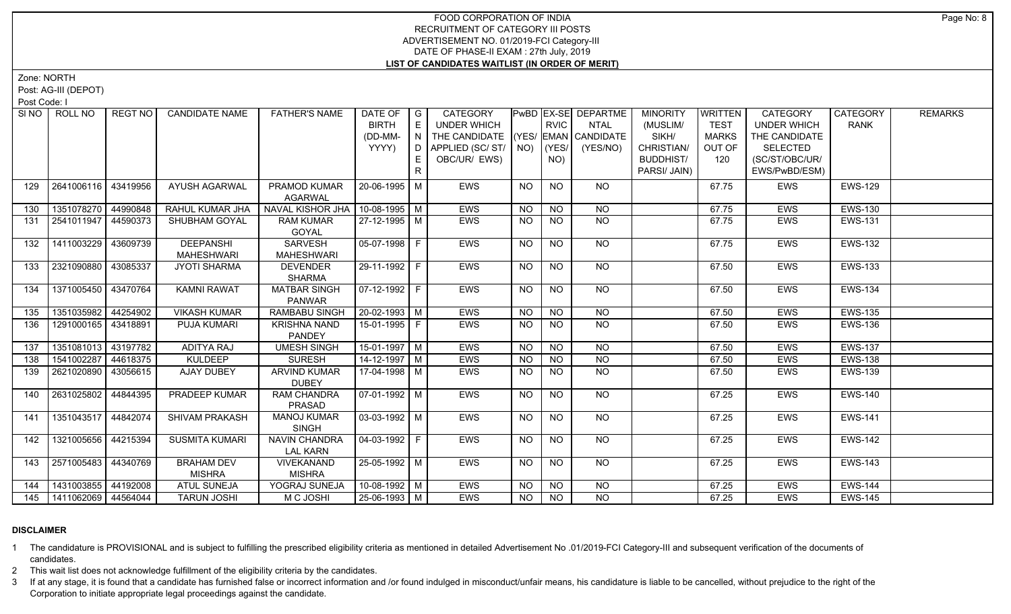Zone: NORTH

Post: AG-III (DEPOT)

Post Code: I

|     | SINO FROLL NO         | REGT NO  | <b>CANDIDATE NAME</b> | <b>FATHER'S NAME</b> | DATE OF   G           |              | CATEGORY                           |           |                | <b>PwBD EX-SE DEPARTME</b> | <b>MINORITY</b>  | <b>WRITTEN</b> | <b>CATEGORY</b>    | CATEGORY       | <b>REMARKS</b> |
|-----|-----------------------|----------|-----------------------|----------------------|-----------------------|--------------|------------------------------------|-----------|----------------|----------------------------|------------------|----------------|--------------------|----------------|----------------|
|     |                       |          |                       |                      | <b>BIRTH</b>          | E            | UNDER WHICH                        |           | <b>RVIC</b>    | NTAL                       | (MUSLIM/         | <b>TEST</b>    | <b>UNDER WHICH</b> | <b>RANK</b>    |                |
|     |                       |          |                       |                      | (DD-MM-               | N            | THE CANDIDATE (YES/ EMAN CANDIDATE |           |                |                            | SIKH/            | <b>MARKS</b>   | THE CANDIDATE      |                |                |
|     |                       |          |                       |                      | YYYY)                 | D I          | APPLIED (SC/ST/                    | NO)       | (YES/          | (YES/NO)                   | CHRISTIAN/       | OUT OF         | <b>SELECTED</b>    |                |                |
|     |                       |          |                       |                      |                       |              | OBC/UR/ EWS)                       |           | NO)            |                            | <b>BUDDHIST/</b> | 120            | (SC/ST/OBC/UR/     |                |                |
|     |                       |          |                       |                      |                       | $\mathsf{R}$ |                                    |           |                |                            | PARSI/ JAIN)     |                | EWS/PwBD/ESM)      |                |                |
| 129 | 2641006116            | 43419956 | <b>AYUSH AGARWAL</b>  | PRAMOD KUMAR         | 20-06-1995   M        |              | EWS                                | <b>NO</b> | <b>NO</b>      | NO.                        |                  | 67.75          | <b>EWS</b>         | <b>EWS-129</b> |                |
|     |                       |          |                       | <b>AGARWAL</b>       |                       |              |                                    |           |                |                            |                  |                |                    |                |                |
| 130 | 1351078270 44990848   |          | RAHUL KUMAR JHA       | NAVAL KISHOR JHA     | $10-08-1995$ M        |              | EWS                                | <b>NO</b> | N <sub>O</sub> | $\overline{NQ}$            |                  | 67.75          | EWS                | <b>EWS-130</b> |                |
| 131 | 2541011947   44590373 |          | SHUBHAM GOYAL         | <b>RAM KUMAR</b>     | 27-12-1995 M          |              | EWS                                | NO.       | <b>NO</b>      | <b>NO</b>                  |                  | 67.75          | EWS                | <b>EWS-131</b> |                |
|     |                       |          |                       | GOYAL                |                       |              |                                    |           |                |                            |                  |                |                    |                |                |
| 132 | 1411003229            | 43609739 | <b>DEEPANSHI</b>      | SARVESH              | $05-07-1998$ F        |              | EWS                                | <b>NO</b> | <b>NO</b>      | NO                         |                  | 67.75          | EWS                | <b>EWS-132</b> |                |
|     |                       |          | <b>MAHESHWARI</b>     | <b>MAHESHWARI</b>    |                       |              |                                    |           |                |                            |                  |                |                    |                |                |
| 133 | 2321090880            | 43085337 | <b>JYOTI SHARMA</b>   | <b>DEVENDER</b>      | $29-11-1992$ F        |              | <b>EWS</b>                         | <b>NO</b> | N <sub>O</sub> | $N$ O                      |                  | 67.50          | EWS                | <b>EWS-133</b> |                |
|     |                       |          |                       | <b>SHARMA</b>        |                       |              |                                    |           |                |                            |                  |                |                    |                |                |
| 134 | 1371005450   43470764 |          | <b>KAMNI RAWAT</b>    | <b>MATBAR SINGH</b>  | 07-12-1992   F        |              | EWS                                | NO.       | <b>NO</b>      | NO                         |                  | 67.50          | <b>EWS</b>         | <b>EWS-134</b> |                |
|     |                       |          |                       | <b>PANWAR</b>        |                       |              |                                    |           |                |                            |                  |                |                    |                |                |
| 135 | 1351035982            | 44254902 | <b>VIKASH KUMAR</b>   | <b>RAMBABU SINGH</b> | $20 - 02 - 1993$ M    |              | <b>EWS</b>                         | <b>NO</b> | NO             | NO                         |                  | 67.50          | <b>EWS</b>         | <b>EWS-135</b> |                |
| 136 | 1291000165 43418891   |          | PUJA KUMARI           | <b>KRISHNA NAND</b>  | 15-01-1995 F          |              | EWS                                | <b>NO</b> | <b>NO</b>      | <b>NO</b>                  |                  | 67.50          | <b>EWS</b>         | <b>EWS-136</b> |                |
|     |                       |          |                       | <b>PANDEY</b>        |                       |              |                                    |           |                |                            |                  |                |                    |                |                |
| 137 | 1351081013            | 43197782 | <b>ADITYA RAJ</b>     | <b>UMESH SINGH</b>   | 15-01-1997 M          |              | EWS                                | <b>NO</b> | <b>NO</b>      | NO.                        |                  | 67.50          | EWS                | <b>EWS-137</b> |                |
| 138 | 1541002287            | 44618375 | <b>KULDEEP</b>        | <b>SURESH</b>        | 14-12-1997 M          |              | EWS                                | <b>NO</b> | <b>NO</b>      | <b>NO</b>                  |                  | 67.50          | EWS                | <b>EWS-138</b> |                |
| 139 | 2621020890            | 43056615 | AJAY DUBEY            | <b>ARVIND KUMAR</b>  | 17-04-1998 M          |              | EWS                                | NO.       | <b>NO</b>      | NO.                        |                  | 67.50          | EWS                | <b>EWS-139</b> |                |
|     |                       |          |                       | <b>DUBEY</b>         |                       |              |                                    |           |                |                            |                  |                |                    |                |                |
| 140 | 2631025802            | 44844395 | <b>PRADEEP KUMAR</b>  | <b>RAM CHANDRA</b>   | $\sqrt{07-01-1992}$ M |              | EWS                                | NO.       | <b>NO</b>      | $N$ <sup>O</sup>           |                  | 67.25          | EWS                | <b>EWS-140</b> |                |
|     |                       |          |                       | PRASAD               |                       |              |                                    |           |                |                            |                  |                |                    |                |                |
| 141 | 1351043517            | 44842074 | SHIVAM PRAKASH        | <b>MANOJ KUMAR</b>   | $03-03-1992$ M        |              | EWS                                | <b>NO</b> | N <sub>O</sub> | NO                         |                  | 67.25          | <b>EWS</b>         | <b>EWS-141</b> |                |
|     |                       |          |                       | <b>SINGH</b>         |                       |              |                                    |           |                |                            |                  |                |                    |                |                |
| 142 | 1321005656            | 44215394 | <b>SUSMITA KUMARI</b> | NAVIN CHANDRA        | $04-03-1992$ F        |              | EWS                                | <b>NO</b> | <b>NO</b>      | NO                         |                  | 67.25          | EWS                | <b>EWS-142</b> |                |
|     |                       |          |                       | <b>LAL KARN</b>      |                       |              |                                    |           |                |                            |                  |                |                    |                |                |
| 143 | 2571005483            | 44340769 | <b>BRAHAM DEV</b>     | VIVEKANAND           | 25-05-1992 M          |              | EWS                                | NO.       | <b>NO</b>      | <b>NO</b>                  |                  | 67.25          | EWS                | <b>EWS-143</b> |                |
|     |                       |          | <b>MISHRA</b>         | <b>MISHRA</b>        |                       |              |                                    |           |                |                            |                  |                |                    |                |                |
| 144 | 1431003855 44192008   |          | <b>ATUL SUNEJA</b>    | YOGRAJ SUNEJA        | 10-08-1992 M          |              | EWS                                | <b>NO</b> | <b>NO</b>      | <b>NO</b>                  |                  | 67.25          | <b>EWS</b>         | <b>EWS-144</b> |                |
| 145 | 1411062069 44564044   |          | <b>TARUN JOSHI</b>    | M C JOSHI            | 25-06-1993 M          |              | <b>EWS</b>                         | NO        | <b>NO</b>      | NO.                        |                  | 67.25          | <b>EWS</b>         | <b>EWS-145</b> |                |

# **DISCLAIMER**

1 The candidature is PROVISIONAL and is subject to fulfilling the prescribed eligibility criteria as mentioned in detailed Advertisement No .01/2019-FCI Category-III and subsequent verification of the documents of candidates.

2 This wait list does not acknowledge fulfillment of the eligibility criteria by the candidates.

3 If at any stage, it is found that a candidate has furnished false or incorrect information and /or found indulged in misconduct/unfair means, his candidature is liable to be cancelled, without prejudice to the right of t Corporation to initiate appropriate legal proceedings against the candidate.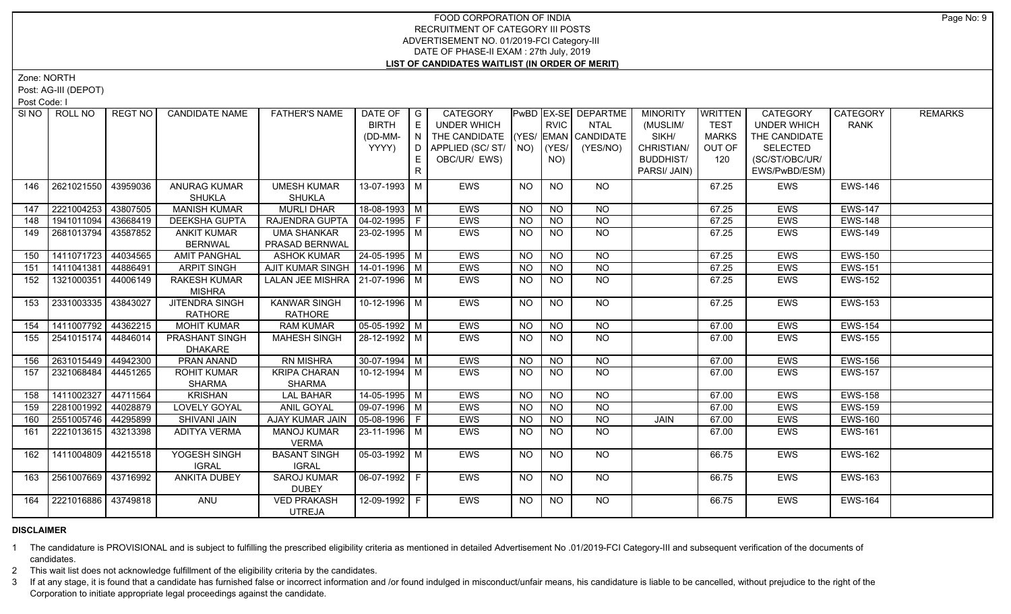Zone: NORTH

Post: AG-III (DEPOT)

Post Code: I

| SI NO I | ROLL NO             | REGT NO  | <b>CANDIDATE NAME</b> | <b>FATHER'S NAME</b>              | DATE OF   G               |              | <b>CATEGORY</b>                    |           |                | <b>PwBD EX-SE DEPARTME</b>               | <b>MINORITY</b>  | WRITTEN      | <b>CATEGORY</b>    | CATEGORY       | <b>REMARKS</b> |
|---------|---------------------|----------|-----------------------|-----------------------------------|---------------------------|--------------|------------------------------------|-----------|----------------|------------------------------------------|------------------|--------------|--------------------|----------------|----------------|
|         |                     |          |                       |                                   | <b>BIRTH</b>              | E            | <b>UNDER WHICH</b>                 |           | <b>RVIC</b>    | <b>NTAL</b>                              | (MUSLIM/         | <b>TEST</b>  | <b>UNDER WHICH</b> | <b>RANK</b>    |                |
|         |                     |          |                       |                                   | (DD-MM-                   | N            | THE CANDIDATE (YES/ EMAN CANDIDATE |           |                |                                          | SIKH/            | <b>MARKS</b> | THE CANDIDATE      |                |                |
|         |                     |          |                       |                                   | YYYY)                     | D            | APPLIED (SC/ST/   NO)   (YES/      |           |                | (YES/NO)                                 | CHRISTIAN/       | OUT OF       | <b>SELECTED</b>    |                |                |
|         |                     |          |                       |                                   |                           | E.           | OBC/UR/ EWS)                       |           | NO)            |                                          | <b>BUDDHIST/</b> | 120          | (SC/ST/OBC/UR/     |                |                |
|         |                     |          |                       |                                   |                           | $\mathsf{R}$ |                                    |           |                |                                          | PARSI/ JAIN)     |              | EWS/PwBD/ESM)      |                |                |
| 146     | 2621021550          | 43959036 | <b>ANURAG KUMAR</b>   | <b>UMESH KUMAR</b>                | 13-07-1993 M              |              | <b>EWS</b>                         | <b>NO</b> | <b>NO</b>      | NO.                                      |                  | 67.25        | EWS                | <b>EWS-146</b> |                |
|         |                     |          | <b>SHUKLA</b>         | <b>SHUKLA</b>                     |                           |              |                                    |           |                |                                          |                  |              |                    |                |                |
| 147     | 2221004253          | 43807505 | <b>MANISH KUMAR</b>   | <b>MURLI DHAR</b>                 | 18-08-1993 M              |              | EWS                                | <b>NO</b> | <b>NO</b>      | <b>NO</b>                                |                  | 67.25        | <b>EWS</b>         | <b>EWS-147</b> |                |
| 148     | 1941011094          | 43668419 | <b>DEEKSHA GUPTA</b>  | RAJENDRA GUPTA                    | $04-02-1995$ F            |              | EWS                                | <b>NO</b> | <b>NO</b>      | <b>NO</b>                                |                  | 67.25        | <b>EWS</b>         | <b>EWS-148</b> |                |
| 149     | 2681013794          | 43587852 | <b>ANKIT KUMAR</b>    | <b>UMA SHANKAR</b>                | 23-02-1995 M              |              | <b>EWS</b>                         | <b>NO</b> | <b>NO</b>      | <b>NO</b>                                |                  | 67.25        | <b>EWS</b>         | <b>EWS-149</b> |                |
|         |                     |          | <b>BERNWAL</b>        | PRASAD BERNWAL                    |                           |              |                                    |           |                |                                          |                  |              |                    |                |                |
| 150     | 1411071723          | 44034565 | <b>AMIT PANGHAL</b>   | <b>ASHOK KUMAR</b>                | 24-05-1995 M              |              | <b>EWS</b>                         | <b>NO</b> | N <sub>O</sub> | $\overline{NQ}$                          |                  | 67.25        | <b>EWS</b>         | <b>EWS-150</b> |                |
| 151     | 1411041381          | 44886491 | <b>ARPIT SINGH</b>    | AJIT KUMAR SINGH   14-01-1996   M |                           |              | EWS                                | NO.       | N <sub>O</sub> | N <sub>O</sub>                           |                  | 67.25        | <b>EWS</b>         | <b>EWS-151</b> |                |
| 152     | 1321000351          | 44006149 | <b>RAKESH KUMAR</b>   | LALAN JEE MISHRA   21-07-1996   M |                           |              | EWS                                | <b>NO</b> | <b>NO</b>      | $N$ <sup>O</sup>                         |                  | 67.25        | EWS                | <b>EWS-152</b> |                |
|         |                     |          | <b>MISHRA</b>         |                                   |                           |              |                                    |           |                |                                          |                  |              |                    |                |                |
| 153     | 2331003335          | 43843027 | <b>JITENDRA SINGH</b> | <b>KANWAR SINGH</b>               | 10-12-1996 M              |              | <b>EWS</b>                         | NO        | N <sub>O</sub> | NO                                       |                  | 67.25        | EWS                | <b>EWS-153</b> |                |
|         |                     |          | <b>RATHORE</b>        | <b>RATHORE</b>                    |                           |              |                                    |           |                |                                          |                  |              |                    |                |                |
| 154     | 1411007792 44362215 |          | <b>MOHIT KUMAR</b>    | <b>RAM KUMAR</b>                  | $05-05-1992$ M            |              | <b>EWS</b>                         | <b>NO</b> | <b>NO</b>      | NO                                       |                  | 67.00        | <b>EWS</b>         | <b>EWS-154</b> |                |
| 155     | 2541015174          | 44846014 | PRASHANT SINGH        | <b>MAHESH SINGH</b>               | 28-12-1992 M              |              | EWS                                | NO.       | <b>NO</b>      | $N$ O                                    |                  | 67.00        | <b>EWS</b>         | <b>EWS-155</b> |                |
|         |                     |          | <b>DHAKARE</b>        |                                   |                           |              |                                    |           |                |                                          |                  |              |                    |                |                |
| 156     | 2631015449          | 44942300 | PRAN ANAND            | RN MISHRA                         | $30-07-1994$ M            |              | EWS                                | NO.       | <b>NO</b>      | <b>NO</b>                                |                  | 67.00        | <b>EWS</b>         | <b>EWS-156</b> |                |
| 157     | 2321068484          | 44451265 | <b>ROHIT KUMAR</b>    | <b>KRIPA CHARAN</b>               | 10-12-1994 $\overline{M}$ |              | EWS                                | <b>NO</b> | N <sub>O</sub> | $N$ O                                    |                  | 67.00        | <b>EWS</b>         | <b>EWS-157</b> |                |
|         |                     |          | <b>SHARMA</b>         | <b>SHARMA</b>                     |                           |              |                                    |           |                |                                          |                  |              |                    |                |                |
| 158     | 1411002327          | 44711564 | <b>KRISHAN</b>        | <b>LAL BAHAR</b>                  | 14-05-1995 M              |              | <b>EWS</b>                         | <b>NO</b> | <b>NO</b>      | <b>NO</b>                                |                  | 67.00        | <b>EWS</b>         | <b>EWS-158</b> |                |
| 159     | 2281001992 44028879 |          | <b>LOVELY GOYAL</b>   | <b>ANIL GOYAL</b>                 | 09-07-1996 M              |              | EWS                                | <b>NO</b> | <b>NO</b>      | <b>NO</b>                                |                  | 67.00        | <b>EWS</b>         | <b>EWS-159</b> |                |
| 160     | 2551005746          | 44295899 | <b>SHIVANI JAIN</b>   | AJAY KUMAR JAIN                   | 05-08-1996 F              |              | EWS                                | <b>NO</b> | <b>NO</b>      | $\overline{N}$                           | <b>JAIN</b>      | 67.00        | <b>EWS</b>         | <b>EWS-160</b> |                |
| 161     | 2221013615          | 43213398 | <b>ADITYA VERMA</b>   | <b>MANOJ KUMAR</b>                | 23-11-1996 M              |              | EWS                                | <b>NO</b> | <b>NO</b>      | <b>NO</b>                                |                  | 67.00        | <b>EWS</b>         | <b>EWS-161</b> |                |
|         |                     |          |                       | <b>VERMA</b>                      |                           |              |                                    |           |                |                                          |                  |              |                    |                |                |
| 162     | 1411004809 44215518 |          | YOGESH SINGH          | <b>BASANT SINGH</b>               | $05-03-1992$ M            |              | <b>EWS</b>                         | NO.       | <b>NO</b>      | NO.                                      |                  | 66.75        | <b>EWS</b>         | <b>EWS-162</b> |                |
|         |                     |          | <b>IGRAL</b>          | <b>IGRAL</b>                      |                           |              |                                    |           |                |                                          |                  |              |                    |                |                |
| 163     | 2561007669 43716992 |          | ANKITA DUBEY          | <b>SAROJ KUMAR</b>                | $06-07-1992$ F            |              | <b>EWS</b>                         | NO.       | <b>NO</b>      | NO                                       |                  | 66.75        | EWS                | <b>EWS-163</b> |                |
|         |                     |          |                       | <b>DUBEY</b>                      |                           |              |                                    |           |                |                                          |                  |              |                    |                |                |
| 164     | 2221016886 43749818 |          | ANU                   | <b>VED PRAKASH</b>                | 12-09-1992 F              |              | <b>EWS</b>                         | NO        | <b>NO</b>      | $N$ <sup><math>\overline{O}</math></sup> |                  | 66.75        | <b>EWS</b>         | <b>EWS-164</b> |                |
|         |                     |          |                       | <b>UTREJA</b>                     |                           |              |                                    |           |                |                                          |                  |              |                    |                |                |

# **DISCLAIMER**

1 The candidature is PROVISIONAL and is subject to fulfilling the prescribed eligibility criteria as mentioned in detailed Advertisement No .01/2019-FCI Category-III and subsequent verification of the documents of candidates.

2 This wait list does not acknowledge fulfillment of the eligibility criteria by the candidates.

3 If at any stage, it is found that a candidate has furnished false or incorrect information and /or found indulged in misconduct/unfair means, his candidature is liable to be cancelled, without prejudice to the right of t Corporation to initiate appropriate legal proceedings against the candidate.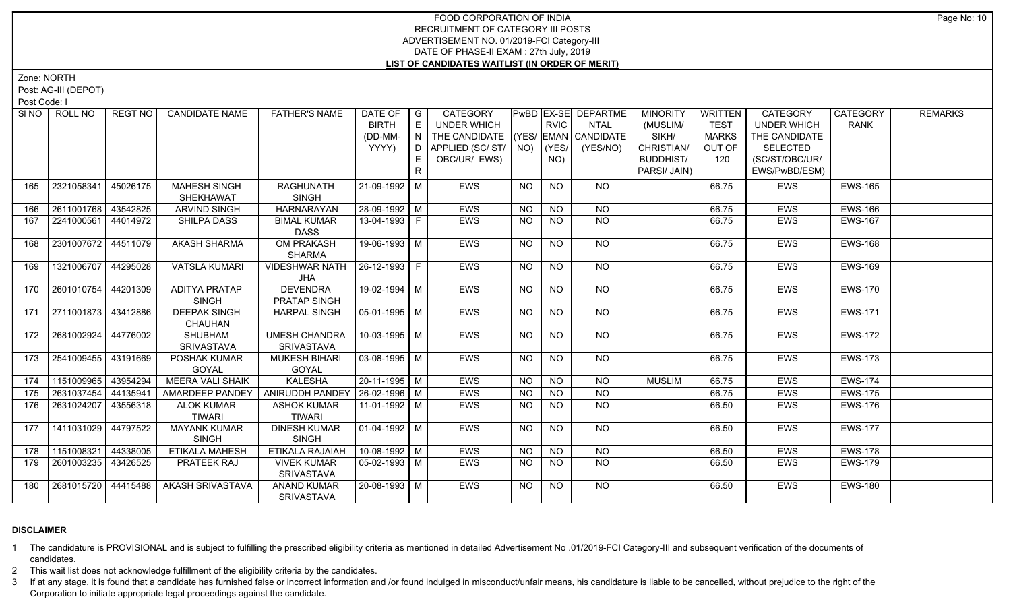Zone: NORTH

Post: AG-III (DEPOT)

Post Code: I

| SINO ROLL NO      | REGT NO               | <b>CANDIDATE NAME</b>   | <b>FATHER'S NAME</b>             | DATE OF $ G $  |    | CATEGORY                           |           |                 | <b>PWBD EX-SE DEPARTME</b> | <b>MINORITY</b>  | <b>WRITTEN</b> | <b>CATEGORY</b>    | CATEGORY       | <b>REMARKS</b> |
|-------------------|-----------------------|-------------------------|----------------------------------|----------------|----|------------------------------------|-----------|-----------------|----------------------------|------------------|----------------|--------------------|----------------|----------------|
|                   |                       |                         |                                  | <b>BIRTH</b>   |    | UNDER WHICH                        |           | <b>RVIC</b>     | NTAL                       | (MUSLIM/         | <b>TEST</b>    | <b>UNDER WHICH</b> | <b>RANK</b>    |                |
|                   |                       |                         |                                  | (DD-MM-        | N  | THE CANDIDATE (YES/ EMAN CANDIDATE |           |                 |                            | SIKH/            | <b>MARKS</b>   | THE CANDIDATE      |                |                |
|                   |                       |                         |                                  | YYYY)          | D. | APPLIED (SC/ ST/   NO)             |           | (YES/           | (YES/NO)                   | CHRISTIAN/       | OUT OF         | <b>SELECTED</b>    |                |                |
|                   |                       |                         |                                  |                |    | OBC/UR/ EWS)                       |           | NO)             |                            | <b>BUDDHIST/</b> | 120            | (SC/ST/OBC/UR/     |                |                |
|                   |                       |                         |                                  |                |    |                                    |           |                 |                            | PARSI/ JAIN)     |                | EWS/PwBD/ESM)      |                |                |
| 2321058341<br>165 | 45026175              | <b>MAHESH SINGH</b>     | <b>RAGHUNATH</b>                 | 21-09-1992 M   |    | EWS                                | <b>NO</b> | <b>NO</b>       | NO.                        |                  | 66.75          | EWS                | <b>EWS-165</b> |                |
|                   |                       | SHEKHAWAT               | <b>SINGH</b>                     |                |    |                                    |           |                 |                            |                  |                |                    |                |                |
| 166               | 2611001768 43542825   | <b>ARVIND SINGH</b>     | <b>HARNARAYAN</b>                | $28-09-1992$ M |    | <b>EWS</b>                         | <b>NO</b> | <b>NO</b>       | <b>NO</b>                  |                  | 66.75          | <b>EWS</b>         | <b>EWS-166</b> |                |
| 2241000561<br>167 | 44014972              | <b>SHILPA DASS</b>      | <b>BIMAL KUMAR</b>               | 13-04-1993 F   |    | EWS                                | NO.       | <b>NO</b>       | NO.                        |                  | 66.75          | EWS                | <b>EWS-167</b> |                |
|                   |                       |                         | <b>DASS</b>                      |                |    |                                    |           |                 |                            |                  |                |                    |                |                |
| 168               | 2301007672 44511079   | <b>AKASH SHARMA</b>     | OM PRAKASH                       | 19-06-1993 M   |    | EWS                                | NO.       | <b>NO</b>       | NO                         |                  | 66.75          | EWS                | <b>EWS-168</b> |                |
|                   |                       |                         | <b>SHARMA</b>                    |                |    |                                    |           |                 |                            |                  |                |                    |                |                |
| 169               | 1321006707 44295028   | <b>VATSLA KUMARI</b>    | <b>VIDESHWAR NATH</b>            | $26-12-1993$ F |    | EWS                                | <b>NO</b> | $\overline{NO}$ | NO                         |                  | 66.75          | EWS                | <b>EWS-169</b> |                |
|                   |                       |                         | JHA                              |                |    |                                    |           |                 |                            |                  |                |                    |                |                |
| 170               | 2601010754 44201309   | <b>ADITYA PRATAP</b>    | <b>DEVENDRA</b>                  | 19-02-1994 M   |    | <b>EWS</b>                         | <b>NO</b> | <b>NO</b>       | NO                         |                  | 66.75          | <b>EWS</b>         | <b>EWS-170</b> |                |
|                   |                       | <b>SINGH</b>            | PRATAP SINGH                     |                |    |                                    |           |                 |                            |                  |                |                    |                |                |
| 171               | 2711001873 43412886   | <b>DEEPAK SINGH</b>     | <b>HARPAL SINGH</b>              | 05-01-1995   M |    | <b>EWS</b>                         | <b>NO</b> | <b>NO</b>       | NO                         |                  | 66.75          | <b>EWS</b>         | <b>EWS-171</b> |                |
|                   |                       | <b>CHAUHAN</b>          |                                  |                |    |                                    |           |                 |                            |                  |                |                    |                |                |
| 172               | 2681002924 44776002   | <b>SHUBHAM</b>          | <b>UMESH CHANDRA</b>             | $10-03-1995$ M |    | <b>EWS</b>                         | <b>NO</b> | <b>NO</b>       | N <sub>O</sub>             |                  | 66.75          | <b>EWS</b>         | <b>EWS-172</b> |                |
|                   |                       | <b>SRIVASTAVA</b>       | SRIVASTAVA                       |                |    |                                    |           |                 |                            |                  |                |                    |                |                |
| 173               | 2541009455 43191669   | POSHAK KUMAR            | <b>MUKESH BIHARI</b>             | $03-08-1995$ M |    | <b>EWS</b>                         | <b>NO</b> | <b>NO</b>       | <b>NO</b>                  |                  | 66.75          | <b>EWS</b>         | <b>EWS-173</b> |                |
|                   |                       | GOYAL                   | GOYAL                            |                |    |                                    |           |                 |                            |                  |                |                    |                |                |
| 174               | 1151009965 43954294   | <b>MEERA VALI SHAIK</b> | <b>KALESHA</b>                   | $20-11-1995$ M |    | <b>EWS</b>                         | <b>NO</b> | $N$ O           | <b>NO</b>                  | <b>MUSLIM</b>    | 66.75          | EWS                | <b>EWS-174</b> |                |
| 175               | 2631037454 44135941   | <b>AMARDEEP PANDEY</b>  | ANIRUDDH PANDEY   26-02-1996   M |                |    | EWS                                | <b>NO</b> | $\overline{NO}$ | N <sub>O</sub>             |                  | 66.75          | EWS                | <b>EWS-175</b> |                |
| 176               | 2631024207   43556318 | <b>ALOK KUMAR</b>       | <b>ASHOK KUMAR</b>               | 11-01-1992   M |    | EWS                                | <b>NO</b> | <b>NO</b>       | <b>NO</b>                  |                  | 66.50          | EWS                | <b>EWS-176</b> |                |
|                   |                       | <b>TIWARI</b>           | <b>TIWARI</b>                    |                |    |                                    |           |                 |                            |                  |                |                    |                |                |
| 177               | 1411031029 44797522   | <b>MAYANK KUMAR</b>     | <b>DINESH KUMAR</b>              | 01-04-1992   M |    | <b>EWS</b>                         | <b>NO</b> | <b>NO</b>       | NO                         |                  | 66.50          | <b>EWS</b>         | <b>EWS-177</b> |                |
|                   |                       | <b>SINGH</b>            | <b>SINGH</b>                     |                |    |                                    |           |                 |                            |                  |                |                    |                |                |
| 1151008321<br>178 | 44338005              | ETIKALA MAHESH          | ETIKALA RAJAIAH                  | $10-08-1992$ M |    | <b>EWS</b>                         | <b>NO</b> | $N$ O           | NO                         |                  | 66.50          | <b>EWS</b>         | <b>EWS-178</b> |                |
| 179               | 2601003235 43426525   | PRATEEK RAJ             | <b>VIVEK KUMAR</b><br>SRIVASTAVA | $05-02-1993$ M |    | EWS                                | NO.       | <b>NO</b>       | NO                         |                  | 66.50          | EWS                | <b>EWS-179</b> |                |
| 180               | 2681015720   44415488 | <b>AKASH SRIVASTAVA</b> | <b>ANAND KUMAR</b><br>SRIVASTAVA | 20-08-1993   M |    | <b>EWS</b>                         | <b>NO</b> | <b>NO</b>       | <b>NO</b>                  |                  | 66.50          | <b>EWS</b>         | <b>EWS-180</b> |                |

# **DISCLAIMER**

1 The candidature is PROVISIONAL and is subject to fulfilling the prescribed eligibility criteria as mentioned in detailed Advertisement No .01/2019-FCI Category-III and subsequent verification of the documents of candidates.

2 This wait list does not acknowledge fulfillment of the eligibility criteria by the candidates.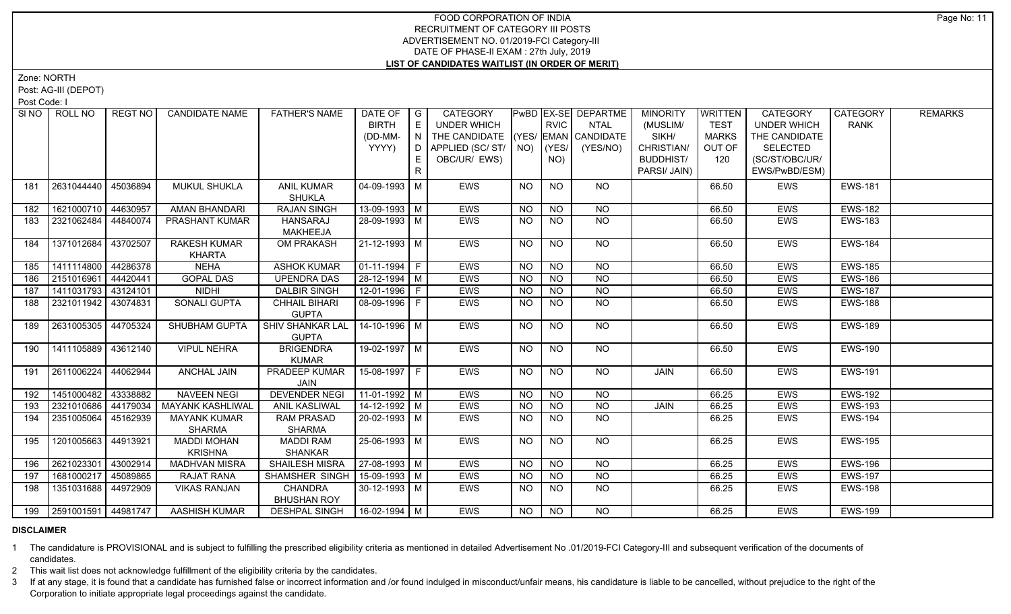Zone: NORTH

Post: AG-III (DEPOT)

Post Code: I

|     | SINO   ROLL NO          | REGT NO  | <b>CANDIDATE NAME</b>   | <b>FATHER'S NAME</b>    | DATE OF<br><b>BIRTH</b> | $\overline{\phantom{a}}$ G<br>E | <b>CATEGORY</b><br><b>UNDER WHICH</b> |           | <b>RVIC</b>     | PwBD   EX-SE   DEPARTME<br><b>NTAL</b> | <b>MINORITY</b><br>(MUSLIM/ | <b>WRITTEN</b><br><b>TEST</b> | <b>CATEGORY</b><br><b>UNDER WHICH</b> | CATEGORY<br><b>RANK</b> | <b>REMARKS</b> |
|-----|-------------------------|----------|-------------------------|-------------------------|-------------------------|---------------------------------|---------------------------------------|-----------|-----------------|----------------------------------------|-----------------------------|-------------------------------|---------------------------------------|-------------------------|----------------|
|     |                         |          |                         |                         | (DD-MM-                 | $\overline{N}$                  | THE CANDIDATE                         |           |                 | $ YES/$ EMAN $ $ CANDIDATE             | SIKH/                       | MARKS                         | THE CANDIDATE                         |                         |                |
|     |                         |          |                         |                         | YYYY)                   | D I                             | APPLIED (SC/ST/                       |           | $NO)$ $(YES/$   | (YES/NO)                               | CHRISTIAN/                  | OUT OF                        | <b>SELECTED</b>                       |                         |                |
|     |                         |          |                         |                         |                         | E                               | OBC/UR/ EWS)                          |           | NO)             |                                        | <b>BUDDHIST/</b>            | 120                           | (SC/ST/OBC/UR/                        |                         |                |
|     |                         |          |                         |                         |                         | $\mathsf{R}$                    |                                       |           |                 |                                        | PARSI/ JAIN)                |                               | EWS/PwBD/ESM)                         |                         |                |
| 181 | 2631044440              | 45036894 | <b>MUKUL SHUKLA</b>     | <b>ANIL KUMAR</b>       | $04 - 09 - 1993$ M      |                                 | <b>EWS</b>                            | NO        | <b>NO</b>       | <b>NO</b>                              |                             | 66.50                         | <b>EWS</b>                            | <b>EWS-181</b>          |                |
|     |                         |          |                         | <b>SHUKLA</b>           |                         |                                 |                                       |           |                 |                                        |                             |                               |                                       |                         |                |
| 182 | 1621000710              | 44630957 | AMAN BHANDARI           | <b>RAJAN SINGH</b>      | 13-09-1993   M          |                                 | EWS                                   | NO.       | <b>NO</b>       | <b>NO</b>                              |                             | 66.50                         | <b>EWS</b>                            | <b>EWS-182</b>          |                |
| 183 | 2321062484              | 44840074 | <b>PRASHANT KUMAR</b>   | <b>HANSARAJ</b>         | 28-09-1993   M          |                                 | <b>EWS</b>                            | <b>NO</b> | <b>NO</b>       | <b>NO</b>                              |                             | 66.50                         | <b>EWS</b>                            | <b>EWS-183</b>          |                |
|     |                         |          |                         | <b>MAKHEEJA</b>         |                         |                                 |                                       |           |                 |                                        |                             |                               |                                       |                         |                |
| 184 | 1371012684              | 43702507 | <b>RAKESH KUMAR</b>     | OM PRAKASH              | 21-12-1993 M            |                                 | EWS                                   | NO.       | <b>NO</b>       | NO                                     |                             | 66.50                         | <b>EWS</b>                            | <b>EWS-184</b>          |                |
|     |                         |          | <b>KHARTA</b>           |                         |                         |                                 |                                       |           |                 |                                        |                             |                               |                                       |                         |                |
| 185 | 1411114800              | 44286378 | <b>NEHA</b>             | <b>ASHOK KUMAR</b>      | $\boxed{01-11-1994}$ F  |                                 | <b>EWS</b>                            | <b>NO</b> | <b>NO</b>       | <b>NO</b>                              |                             | 66.50                         | <b>EWS</b>                            | <b>EWS-185</b>          |                |
| 186 | 2151016961              | 44420441 | <b>GOPAL DAS</b>        | <b>UPENDRA DAS</b>      | $28-12-1994$ M          |                                 | EWS                                   | <b>NO</b> | $N$ O           | N <sub>O</sub>                         |                             | 66.50                         | <b>EWS</b>                            | <b>EWS-186</b>          |                |
| 187 | 1411031793              | 43124101 | <b>NIDHI</b>            | <b>DALBIR SINGH</b>     | 12-01-1996   F          |                                 | EWS                                   | NO.       | <b>NO</b>       | <b>NO</b>                              |                             | 66.50                         | EWS                                   | <b>EWS-187</b>          |                |
| 188 | 2321011942   43074831   |          | SONALI GUPTA            | <b>CHHAIL BIHARI</b>    | 08-09-1996 F            |                                 | <b>EWS</b>                            | <b>NO</b> | $\overline{NO}$ | $N$ <sup>O</sup>                       |                             | 66.50                         | <b>EWS</b>                            | <b>EWS-188</b>          |                |
|     |                         |          |                         | <b>GUPTA</b>            |                         |                                 |                                       |           |                 |                                        |                             |                               |                                       |                         |                |
| 189 | 2631005305              | 44705324 | SHUBHAM GUPTA           | <b>SHIV SHANKAR LAL</b> | 14-10-1996 M            |                                 | <b>EWS</b>                            | NO.       | <b>NO</b>       | NO                                     |                             | 66.50                         | <b>EWS</b>                            | <b>EWS-189</b>          |                |
|     |                         |          |                         | <b>GUPTA</b>            |                         |                                 |                                       |           |                 |                                        |                             |                               |                                       |                         |                |
| 190 | 1411105889 43612140     |          | <b>VIPUL NEHRA</b>      | <b>BRIGENDRA</b>        | 19-02-1997 M            |                                 | EWS                                   | <b>NO</b> | N <sub>O</sub>  | NO                                     |                             | 66.50                         | <b>EWS</b>                            | <b>EWS-190</b>          |                |
|     |                         |          |                         | <b>KUMAR</b>            |                         |                                 |                                       |           |                 |                                        |                             |                               |                                       |                         |                |
| 191 | 2611006224              | 44062944 | ANCHAL JAIN             | <b>PRADEEP KUMAR</b>    | 15-08-1997 F            |                                 | EWS                                   | <b>NO</b> | <b>NO</b>       | <b>NO</b>                              | JAIN                        | 66.50                         | <b>EWS</b>                            | <b>EWS-191</b>          |                |
|     |                         |          |                         | JAIN                    |                         |                                 |                                       |           |                 |                                        |                             |                               |                                       |                         |                |
| 192 | 1451000482              | 43338882 | <b>NAVEEN NEGI</b>      | <b>DEVENDER NEGI</b>    | $11-01-1992$ M          |                                 | EWS                                   | <b>NO</b> | <b>NO</b>       | <b>NO</b>                              |                             | 66.25                         | <b>EWS</b>                            | <b>EWS-192</b>          |                |
| 193 | 2321010686              | 44179034 | <b>MAYANK KASHLIWAL</b> | ANIL KASLIWAL           | 14-12-1992 M            |                                 | <b>EWS</b>                            | <b>NO</b> | <b>NO</b>       | <b>NO</b>                              | JAIN                        | 66.25                         | <b>EWS</b>                            | <b>EWS-193</b>          |                |
| 194 | 2351005064              | 45162939 | <b>MAYANK KUMAR</b>     | RAM PRASAD              | 20-02-1993 M            |                                 | EWS                                   | NO.       | NO.             | <b>NO</b>                              |                             | 66.25                         | EWS                                   | <b>EWS-194</b>          |                |
|     |                         |          | <b>SHARMA</b>           | <b>SHARMA</b>           |                         |                                 |                                       |           |                 |                                        |                             |                               |                                       |                         |                |
| 195 | 1201005663              | 44913921 | <b>MADDI MOHAN</b>      | <b>MADDI RAM</b>        | 25-06-1993 M            |                                 | <b>EWS</b>                            | NO        | NO.             | NO                                     |                             | 66.25                         | <b>EWS</b>                            | <b>EWS-195</b>          |                |
|     |                         |          | <b>KRISHNA</b>          | <b>SHANKAR</b>          |                         |                                 |                                       |           |                 |                                        |                             |                               |                                       |                         |                |
| 196 | 2621023301              | 43002914 | <b>MADHVAN MISRA</b>    | <b>SHAILESH MISRA</b>   | 27-08-1993 M            |                                 | EWS                                   | <b>NO</b> | <b>NO</b>       | <b>NO</b>                              |                             | 66.25                         | EWS                                   | <b>EWS-196</b>          |                |
| 197 | 1681000217              | 45089865 | RAJAT RANA              | SHAMSHER SINGH          | 15-09-1993 M            |                                 | EWS                                   | <b>NO</b> | $N$ O           | $N$ O                                  |                             | 66.25                         | <b>EWS</b>                            | <b>EWS-197</b>          |                |
| 198 | 1351031688              | 44972909 | <b>VIKAS RANJAN</b>     | <b>CHANDRA</b>          | $30-12-1993$ M          |                                 | EWS                                   | NO.       | <b>NO</b>       | <b>NO</b>                              |                             | 66.25                         | EWS                                   | <b>EWS-198</b>          |                |
|     |                         |          |                         | <b>BHUSHAN ROY</b>      |                         |                                 |                                       |           |                 |                                        |                             |                               |                                       |                         |                |
|     | 199 2591001591 44981747 |          | <b>AASHISH KUMAR</b>    | <b>DESHPAL SINGH</b>    | $16 - 02 - 1994$ M      |                                 | <b>EWS</b>                            | NO        | NO              | <b>NO</b>                              |                             | 66.25                         | <b>EWS</b>                            | <b>EWS-199</b>          |                |

#### **DISCLAIMER**

1 The candidature is PROVISIONAL and is subject to fulfilling the prescribed eligibility criteria as mentioned in detailed Advertisement No .01/2019-FCI Category-III and subsequent verification of the documents of candidates.

2 This wait list does not acknowledge fulfillment of the eligibility criteria by the candidates.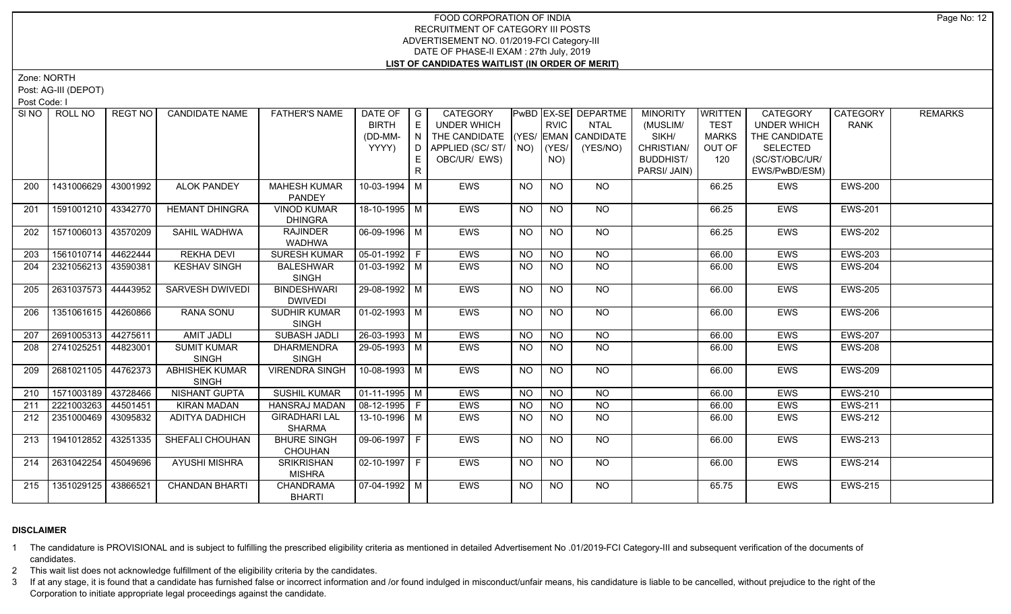Zone: NORTH

Post: AG-III (DEPOT)

Post Code: I

|     | SINO FROLL NO         | REGT NO  | <b>CANDIDATE NAME</b>  | <b>FATHER'S NAME</b>  | DATE OF $ G $          |     | CATEGORY                           |           |                | <b>PwBD EX-SE DEPARTME</b> | <b>MINORITY</b>  | <b>WRITTEN</b> | <b>CATEGORY</b>    | CATEGORY       | <b>REMARKS</b> |
|-----|-----------------------|----------|------------------------|-----------------------|------------------------|-----|------------------------------------|-----------|----------------|----------------------------|------------------|----------------|--------------------|----------------|----------------|
|     |                       |          |                        |                       | <b>BIRTH</b>           | E.  | UNDER WHICH                        |           | <b>RVIC</b>    | NTAL                       | (MUSLIM/         | <b>TEST</b>    | <b>UNDER WHICH</b> | <b>RANK</b>    |                |
|     |                       |          |                        |                       | (DD-MM-                | N   | THE CANDIDATE (YES/ EMAN CANDIDATE |           |                |                            | SIKH/            | <b>MARKS</b>   | THE CANDIDATE      |                |                |
|     |                       |          |                        |                       | YYYY)                  | D I | APPLIED (SC/ST/                    | NO)       | YES/           | (YES/NO)                   | CHRISTIAN/       | OUT OF         | <b>SELECTED</b>    |                |                |
|     |                       |          |                        |                       |                        |     | OBC/UR/ EWS)                       |           | NO)            |                            | <b>BUDDHIST/</b> | 120            | (SC/ST/OBC/UR/     |                |                |
|     |                       |          |                        |                       |                        | R.  |                                    |           |                |                            | PARSI/ JAIN)     |                | EWS/PwBD/ESM)      |                |                |
| 200 | 1431006629            | 43001992 | <b>ALOK PANDEY</b>     | <b>MAHESH KUMAR</b>   | 10-03-1994 M           |     | EWS                                | <b>NO</b> | <b>NO</b>      | NO.                        |                  | 66.25          | EWS                | <b>EWS-200</b> |                |
|     |                       |          |                        | PANDEY                |                        |     |                                    |           |                |                            |                  |                |                    |                |                |
| 201 | 1591001210 43342770   |          | <b>HEMANT DHINGRA</b>  | <b>VINOD KUMAR</b>    | 18-10-1995 M           |     | EWS                                | <b>NO</b> | <b>NO</b>      | <b>NO</b>                  |                  | 66.25          | EWS                | <b>EWS-201</b> |                |
|     |                       |          |                        | <b>DHINGRA</b>        |                        |     |                                    |           |                |                            |                  |                |                    |                |                |
| 202 | 1571006013 43570209   |          | SAHIL WADHWA           | <b>RAJINDER</b>       | 06-09-1996 M           |     | EWS                                | NO        | <b>NO</b>      | NO                         |                  | 66.25          | <b>EWS</b>         | <b>EWS-202</b> |                |
|     |                       |          |                        | <b>WADHWA</b>         |                        |     |                                    |           |                |                            |                  |                |                    |                |                |
| 203 | 1561010714            | 44622444 | <b>REKHA DEVI</b>      | <b>SURESH KUMAR</b>   | $\boxed{05-01-1992}$ F |     | <b>EWS</b>                         | <b>NO</b> | N <sub>O</sub> | NO.                        |                  | 66.00          | <b>EWS</b>         | <b>EWS-203</b> |                |
| 204 | 2321056213            | 43590381 | <b>KESHAV SINGH</b>    | <b>BALESHWAR</b>      | 01-03-1992   M         |     | EWS                                | <b>NO</b> | <b>NO</b>      | <b>NO</b>                  |                  | 66.00          | EWS                | <b>EWS-204</b> |                |
|     |                       |          |                        | <b>SINGH</b>          |                        |     |                                    |           |                |                            |                  |                |                    |                |                |
| 205 | 2631037573   44443952 |          | <b>SARVESH DWIVEDI</b> | <b>BINDESHWARI</b>    | 29-08-1992 M           |     | <b>EWS</b>                         | <b>NO</b> | <b>NO</b>      | NO                         |                  | 66.00          | <b>EWS</b>         | <b>EWS-205</b> |                |
|     |                       |          |                        | <b>DWIVEDI</b>        |                        |     |                                    |           |                |                            |                  |                |                    |                |                |
| 206 | 1351061615 44260866   |          | <b>RANA SONU</b>       | <b>SUDHIR KUMAR</b>   | $\sqrt{01-02-1993}$ M  |     | EWS                                | <b>NO</b> | <b>NO</b>      | NO                         |                  | 66.00          | EWS                | <b>EWS-206</b> |                |
|     |                       |          |                        | <b>SINGH</b>          |                        |     |                                    |           |                |                            |                  |                |                    |                |                |
| 207 | 2691005313 44275611   |          | <b>AMIT JADLI</b>      | <b>SUBASH JADLI</b>   | $26 - 03 - 1993$ M     |     | <b>EWS</b>                         | <b>NO</b> | <b>NO</b>      | N <sub>O</sub>             |                  | 66.00          | EWS                | <b>EWS-207</b> |                |
| 208 | 2741025251            | 44823001 | <b>SUMIT KUMAR</b>     | <b>DHARMENDRA</b>     | 29-05-1993 M           |     | <b>EWS</b>                         | <b>NO</b> | <b>NO</b>      | NO                         |                  | 66.00          | <b>EWS</b>         | <b>EWS-208</b> |                |
|     |                       |          | <b>SINGH</b>           | <b>SINGH</b>          |                        |     |                                    |           |                |                            |                  |                |                    |                |                |
| 209 | 2681021105            | 44762373 | <b>ABHISHEK KUMAR</b>  | <b>VIRENDRA SINGH</b> | 10-08-1993 M           |     | EWS                                | <b>NO</b> | <b>NO</b>      | NO                         |                  | 66.00          | EWS                | <b>EWS-209</b> |                |
|     |                       |          | <b>SINGH</b>           |                       |                        |     |                                    |           |                |                            |                  |                |                    |                |                |
| 210 | 1571003189 43728466   |          | NISHANT GUPTA          | <b>SUSHIL KUMAR</b>   | $\boxed{01-11-1995}$ M |     | <b>EWS</b>                         | <b>NO</b> | N <sub>O</sub> | $N$ O                      |                  | 66.00          | <b>EWS</b>         | <b>EWS-210</b> |                |
| 211 | 2221003263            | 44501451 | <b>KIRAN MADAN</b>     | <b>HANSRAJ MADAN</b>  | $08-12-1995$   F       |     | EWS                                | <b>NO</b> | <b>NO</b>      | <b>NO</b>                  |                  | 66.00          | <b>EWS</b>         | <b>EWS-211</b> |                |
| 212 | 2351000469            | 43095832 | <b>ADITYA DADHICH</b>  | <b>GIRADHARI LAL</b>  | 13-10-1996   M         |     | EWS                                | NO.       | NO.            | NO.                        |                  | 66.00          | EWS                | <b>EWS-212</b> |                |
|     |                       |          |                        | <b>SHARMA</b>         |                        |     |                                    |           |                |                            |                  |                |                    |                |                |
| 213 | 1941012852            | 43251335 | SHEFALI CHOUHAN        | <b>BHURE SINGH</b>    | 09-06-1997 F           |     | EWS                                | <b>NO</b> | N <sub>O</sub> | NO                         |                  | 66.00          | EWS                | <b>EWS-213</b> |                |
|     |                       |          |                        | <b>CHOUHAN</b>        |                        |     |                                    |           |                |                            |                  |                |                    |                |                |
| 214 | 2631042254            | 45049696 | <b>AYUSHI MISHRA</b>   | <b>SRIKRISHAN</b>     | $02 - 10 - 1997$ F     |     | EWS                                | <b>NO</b> | N <sub>O</sub> | NO                         |                  | 66.00          | EWS                | <b>EWS-214</b> |                |
|     |                       |          |                        | <b>MISHRA</b>         |                        |     |                                    |           |                |                            |                  |                |                    |                |                |
| 215 | 1351029125 43866521   |          | <b>CHANDAN BHARTI</b>  | CHANDRAMA             | 07-04-1992   M         |     | <b>EWS</b>                         | NO        | <b>NO</b>      | <b>NO</b>                  |                  | 65.75          | <b>EWS</b>         | <b>EWS-215</b> |                |
|     |                       |          |                        | <b>BHARTI</b>         |                        |     |                                    |           |                |                            |                  |                |                    |                |                |

# **DISCLAIMER**

1 The candidature is PROVISIONAL and is subject to fulfilling the prescribed eligibility criteria as mentioned in detailed Advertisement No .01/2019-FCI Category-III and subsequent verification of the documents of candidates.

2 This wait list does not acknowledge fulfillment of the eligibility criteria by the candidates.

3 If at any stage, it is found that a candidate has furnished false or incorrect information and /or found indulged in misconduct/unfair means, his candidature is liable to be cancelled, without prejudice to the right of t Corporation to initiate appropriate legal proceedings against the candidate.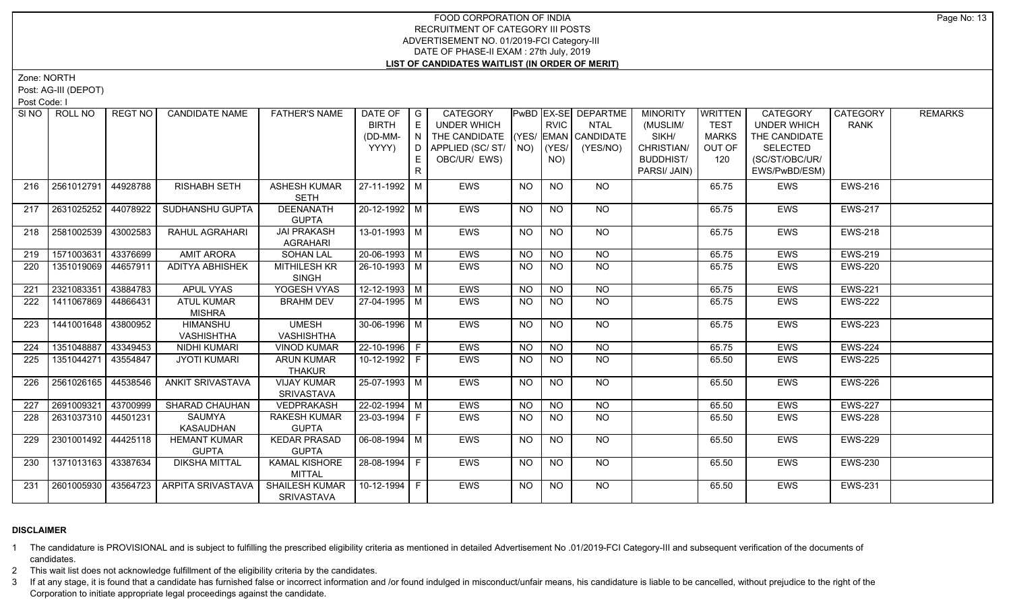Zone: NORTH

Post: AG-III (DEPOT)

Post Code: I

| SI NO I | ROLL NO               | REGT NO  | <b>CANDIDATE NAME</b>                | <b>FATHER'S NAME</b>                    | DATE OF<br><b>BIRTH</b><br>(DD-MM-<br>YYYY) | $\overline{\phantom{a}}$ G<br>E<br>N<br>D<br>E. | CATEGORY<br><b>UNDER WHICH</b><br>THE CANDIDATE (YES/ EMAN CANDIDATE<br>APPLIED (SC/ST/<br>OBC/UR/ EWS) |                 | RVIC<br>$NO)$ (YES/<br>NO) | PwBD EX-SE DEPARTME<br><b>NTAL</b><br>(YES/NO) | <b>MINORITY</b><br>(MUSLIM/<br>SIKH/<br>CHRISTIAN/<br><b>BUDDHIST/</b><br>PARSI/ JAIN) | <b>WRITTEN</b><br><b>TEST</b><br><b>MARKS</b><br>OUT OF<br>120 | <b>CATEGORY</b><br><b>UNDER WHICH</b><br>THE CANDIDATE<br><b>SELECTED</b><br>(SC/ST/OBC/UR/<br>EWS/PwBD/ESM) | CATEGORY<br><b>RANK</b> | <b>REMARKS</b> |
|---------|-----------------------|----------|--------------------------------------|-----------------------------------------|---------------------------------------------|-------------------------------------------------|---------------------------------------------------------------------------------------------------------|-----------------|----------------------------|------------------------------------------------|----------------------------------------------------------------------------------------|----------------------------------------------------------------|--------------------------------------------------------------------------------------------------------------|-------------------------|----------------|
| 216     | 2561012791            | 44928788 | <b>RISHABH SETH</b>                  | <b>ASHESH KUMAR</b><br><b>SETH</b>      | 27-11-1992 M                                |                                                 | <b>EWS</b>                                                                                              | <b>NO</b>       | <b>NO</b>                  | <b>NO</b>                                      |                                                                                        | 65.75                                                          | EWS                                                                                                          | <b>EWS-216</b>          |                |
| 217     | 2631025252            | 44078922 | SUDHANSHU GUPTA                      | DEENANATH<br><b>GUPTA</b>               | 20-12-1992 M                                |                                                 | EWS                                                                                                     | <b>NO</b>       | <b>NO</b>                  | NO                                             |                                                                                        | 65.75                                                          | <b>EWS</b>                                                                                                   | <b>EWS-217</b>          |                |
| 218     | 2581002539            | 43002583 | RAHUL AGRAHARI                       | <b>JAI PRAKASH</b><br><b>AGRAHARI</b>   | $13 - 01 - 1993$ M                          |                                                 | EWS                                                                                                     | $\overline{NO}$ | $\overline{NQ}$            | $N$ <sup>O</sup>                               |                                                                                        | 65.75                                                          | <b>EWS</b>                                                                                                   | <b>EWS-218</b>          |                |
| 219     | 1571003631            | 43376699 | <b>AMIT ARORA</b>                    | <b>SOHAN LAL</b>                        | $20-06-1993$ M                              |                                                 | EWS                                                                                                     | <b>NO</b>       | $N$ O                      | N <sub>O</sub>                                 |                                                                                        | 65.75                                                          | <b>EWS</b>                                                                                                   | <b>EWS-219</b>          |                |
| 220     | 1351019069 44657911   |          | <b>ADITYA ABHISHEK</b>               | <b>MITHILESH KR</b><br>SINGH            | $26 - 10 - 1993$ M                          |                                                 | EWS                                                                                                     | <b>NO</b>       | <b>NO</b>                  | $N$ <sup>O</sup>                               |                                                                                        | 65.75                                                          | <b>EWS</b>                                                                                                   | <b>EWS-220</b>          |                |
| 221     | 2321083351            | 43884783 | <b>APUL VYAS</b>                     | YOGESH VYAS                             | $12 - 12 - 1993$ M                          |                                                 | <b>EWS</b>                                                                                              | $N$ O           | N <sub>O</sub>             | $N$ O                                          |                                                                                        | 65.75                                                          | <b>EWS</b>                                                                                                   | <b>EWS-221</b>          |                |
| 222     | 1411067869            | 44866431 | <b>ATUL KUMAR</b><br><b>MISHRA</b>   | <b>BRAHM DEV</b>                        | 27-04-1995 M                                |                                                 | <b>EWS</b>                                                                                              | NO.             | <b>NO</b>                  | N <sub>O</sub>                                 |                                                                                        | 65.75                                                          | EWS                                                                                                          | <b>EWS-222</b>          |                |
| 223     | 1441001648 43800952   |          | <b>HIMANSHU</b><br><b>VASHISHTHA</b> | <b>UMESH</b><br><b>VASHISHTHA</b>       | 30-06-1996 M                                |                                                 | EWS                                                                                                     | <b>NO</b>       | N <sub>O</sub>             | NO                                             |                                                                                        | 65.75                                                          | <b>EWS</b>                                                                                                   | <b>EWS-223</b>          |                |
| 224     | 1351048887            | 43349453 | <b>NIDHI KUMARI</b>                  | <b>VINOD KUMAR</b>                      | 22-10-1996 F                                |                                                 | EWS                                                                                                     | <b>NO</b>       | <b>NO</b>                  | <b>NO</b>                                      |                                                                                        | 65.75                                                          | <b>EWS</b>                                                                                                   | <b>EWS-224</b>          |                |
| 225     | 1351044271            | 43554847 | <b>JYOTI KUMARI</b>                  | <b>ARUN KUMAR</b><br><b>THAKUR</b>      | 10-12-1992 F                                |                                                 | <b>EWS</b>                                                                                              | <b>NO</b>       | <b>NO</b>                  | <b>NO</b>                                      |                                                                                        | 65.50                                                          | EWS                                                                                                          | <b>EWS-225</b>          |                |
| 226     | 2561026165 44538546   |          | <b>ANKIT SRIVASTAVA</b>              | <b>VIJAY KUMAR</b><br><b>SRIVASTAVA</b> | 25-07-1993 M                                |                                                 | <b>EWS</b>                                                                                              | <b>NO</b>       | <b>NO</b>                  | $N$ <sup>O</sup>                               |                                                                                        | 65.50                                                          | <b>EWS</b>                                                                                                   | <b>EWS-226</b>          |                |
| 227     | 2691009321 43700999   |          | SHARAD CHAUHAN                       | VEDPRAKASH                              | 22-02-1994 M                                |                                                 | EWS                                                                                                     | <b>NO</b>       | N <sub>O</sub>             | $N$ <sup><math>\overline{O}</math></sup>       |                                                                                        | 65.50                                                          | <b>EWS</b>                                                                                                   | <b>EWS-227</b>          |                |
| 228     | 2631037310   44501231 |          | SAUMYA<br>KASAUDHAN                  | <b>RAKESH KUMAR</b><br><b>GUPTA</b>     | 23-03-1994 F                                |                                                 | <b>EWS</b>                                                                                              | <b>NO</b>       | <b>NO</b>                  | <b>NO</b>                                      |                                                                                        | 65.50                                                          | <b>EWS</b>                                                                                                   | <b>EWS-228</b>          |                |
| 229     | 2301001492 44425118   |          | <b>HEMANT KUMAR</b><br><b>GUPTA</b>  | <b>KEDAR PRASAD</b><br><b>GUPTA</b>     | $06-08-1994$ M                              |                                                 | EWS                                                                                                     | <b>NO</b>       | <b>NO</b>                  | NO                                             |                                                                                        | 65.50                                                          | <b>EWS</b>                                                                                                   | <b>EWS-229</b>          |                |
| 230     | 1371013163   43387634 |          | <b>DIKSHA MITTAL</b>                 | <b>KAMAL KISHORE</b><br><b>MITTAL</b>   | 28-08-1994 F                                |                                                 | <b>EWS</b>                                                                                              | NO              | <b>NO</b>                  | NO                                             |                                                                                        | 65.50                                                          | <b>EWS</b>                                                                                                   | <b>EWS-230</b>          |                |
| 231     | 2601005930   43564723 |          | ARPITA SRIVASTAVA                    | SHAILESH KUMAR<br>SRIVASTAVA            | $10-12-1994$ F                              |                                                 | EWS                                                                                                     | <b>NO</b>       | <b>NO</b>                  | NO                                             |                                                                                        | 65.50                                                          | <b>EWS</b>                                                                                                   | <b>EWS-231</b>          |                |

# **DISCLAIMER**

1 The candidature is PROVISIONAL and is subject to fulfilling the prescribed eligibility criteria as mentioned in detailed Advertisement No .01/2019-FCI Category-III and subsequent verification of the documents of candidates.

2 This wait list does not acknowledge fulfillment of the eligibility criteria by the candidates.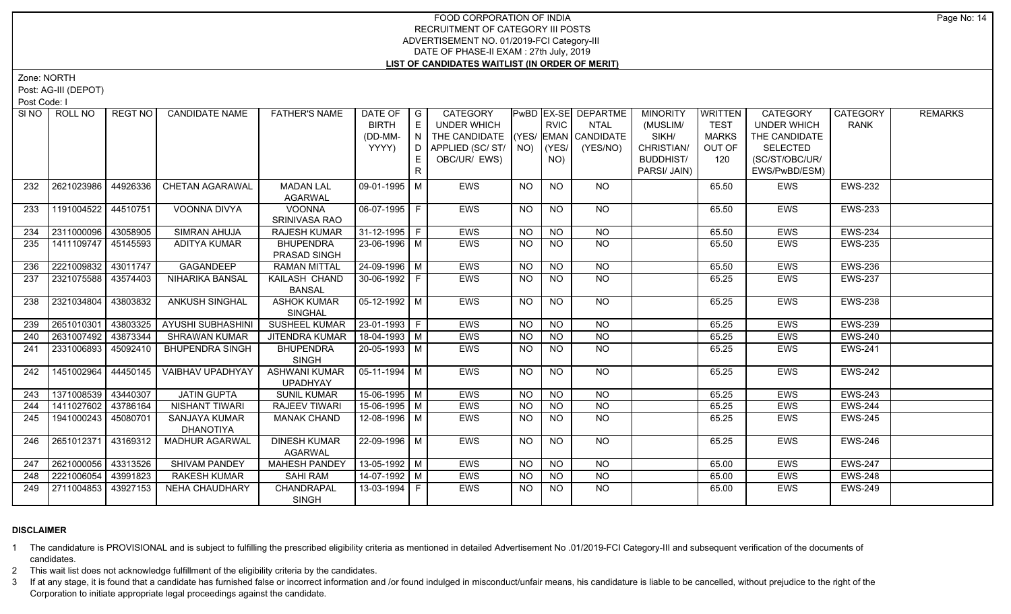Zone: NORTH

Post: AG-III (DEPOT)

Post Code: I

|     | SINO   ROLL NO      | REGT NO  | <b>CANDIDATE NAME</b>             | <b>FATHER'S NAME</b>                    | DATE OF<br><b>BIRTH</b><br>(DD-MM-<br>YYYY) | $\overline{\phantom{a}}$ G<br>E<br>N<br>D<br>E.<br>$\mathsf{R}$ | CATEGORY<br><b>UNDER WHICH</b><br>THE CANDIDATE (YES/ EMAN CANDIDATE<br>APPLIED (SC/ST/<br>OBC/UR/ EWS) |                | RVIC<br>$NO)$ (YES/<br>NO) | PwBD EX-SE DEPARTME<br><b>NTAL</b><br>(YES/NO) | <b>MINORITY</b><br>(MUSLIM/<br>SIKH/<br>CHRISTIAN/<br><b>BUDDHIST/</b><br>PARSI/ JAIN) | <b>WRITTEN</b><br><b>TEST</b><br><b>MARKS</b><br>OUT OF<br>120 | <b>CATEGORY</b><br><b>UNDER WHICH</b><br>THE CANDIDATE<br><b>SELECTED</b><br>(SC/ST/OBC/UR/<br>EWS/PwBD/ESM) | CATEGORY<br><b>RANK</b> | <b>REMARKS</b> |
|-----|---------------------|----------|-----------------------------------|-----------------------------------------|---------------------------------------------|-----------------------------------------------------------------|---------------------------------------------------------------------------------------------------------|----------------|----------------------------|------------------------------------------------|----------------------------------------------------------------------------------------|----------------------------------------------------------------|--------------------------------------------------------------------------------------------------------------|-------------------------|----------------|
| 232 | 2621023986          | 44926336 | <b>CHETAN AGARAWAL</b>            | <b>MADAN LAL</b><br><b>AGARWAL</b>      | 09-01-1995 $\mid$ M                         |                                                                 | <b>EWS</b>                                                                                              | <b>NO</b>      | <b>NO</b>                  | <b>NO</b>                                      |                                                                                        | 65.50                                                          | EWS                                                                                                          | <b>EWS-232</b>          |                |
| 233 | 1191004522 44510751 |          | VOONNA DIVYA                      | VOONNA<br>SRINIVASA RAO                 | 06-07-1995   F                              |                                                                 | EWS                                                                                                     | <b>NO</b>      | <b>NO</b>                  | <b>NO</b>                                      |                                                                                        | 65.50                                                          | <b>EWS</b>                                                                                                   | <b>EWS-233</b>          |                |
| 234 | 2311000096          | 43058905 | SIMRAN AHUJA                      | <b>RAJESH KUMAR</b>                     | $31-12-1995$ F                              |                                                                 | EWS                                                                                                     | NO.            | <b>NO</b>                  | $\overline{NQ}$                                |                                                                                        | 65.50                                                          | <b>EWS</b>                                                                                                   | <b>EWS-234</b>          |                |
| 235 | 1411109747 45145593 |          | <b>ADITYA KUMAR</b>               | <b>BHUPENDRA</b><br>PRASAD SINGH        | 23-06-1996 M                                |                                                                 | EWS                                                                                                     | NO.            | <b>NO</b>                  | NO                                             |                                                                                        | 65.50                                                          | EWS                                                                                                          | <b>EWS-235</b>          |                |
| 236 | 2221009832          | 43011747 | <b>GAGANDEEP</b>                  | <b>RAMAN MITTAL</b>                     | 24-09-1996 M                                |                                                                 | <b>EWS</b>                                                                                              | <b>NO</b>      | N <sub>O</sub>             | $\overline{NO}$                                |                                                                                        | 65.50                                                          | <b>EWS</b>                                                                                                   | <b>EWS-236</b>          |                |
| 237 | 2321075588 33574403 |          | NIHARIKA BANSAL                   | KAILASH CHAND<br><b>BANSAL</b>          | 30-06-1992 F                                |                                                                 | EWS                                                                                                     | <b>NO</b>      | <b>NO</b>                  | N <sub>O</sub>                                 |                                                                                        | 65.25                                                          | <b>EWS</b>                                                                                                   | <b>EWS-237</b>          |                |
| 238 | 2321034804          | 43803832 | <b>ANKUSH SINGHAL</b>             | <b>ASHOK KUMAR</b><br><b>SINGHAL</b>    | $05-12-1992$ M                              |                                                                 | EWS                                                                                                     | <b>NO</b>      | N <sub>O</sub>             | NO                                             |                                                                                        | 65.25                                                          | <b>EWS</b>                                                                                                   | <b>EWS-238</b>          |                |
| 239 | 2651010301          | 43803325 | <b>AYUSHI SUBHASHINI</b>          | <b>SUSHEEL KUMAR</b>                    | 23-01-1993 F                                |                                                                 | <b>EWS</b>                                                                                              | <b>NO</b>      | N <sub>O</sub>             | $N$ O                                          |                                                                                        | 65.25                                                          | <b>EWS</b>                                                                                                   | <b>EWS-239</b>          |                |
| 240 | 2631007492          | 43873344 | SHRAWAN KUMAR                     | <b>JITENDRA KUMAR</b>                   | $18-04-1993$ M                              |                                                                 | EWS                                                                                                     | <b>NO</b>      | N <sub>O</sub>             | N <sub>O</sub>                                 |                                                                                        | 65.25                                                          | <b>EWS</b>                                                                                                   | <b>EWS-240</b>          |                |
| 241 | 2331006893          | 45092410 | <b>BHUPENDRA SINGH</b>            | <b>BHUPENDRA</b><br><b>SINGH</b>        | 20-05-1993 $\sqrt{M}$                       |                                                                 | <b>EWS</b>                                                                                              | N <sub>O</sub> | N <sub>O</sub>             | NO                                             |                                                                                        | 65.25                                                          | <b>EWS</b>                                                                                                   | <b>EWS-241</b>          |                |
| 242 | 1451002964          | 44450145 | <b>VAIBHAV UPADHYAY</b>           | <b>ASHWANI KUMAR</b><br><b>UPADHYAY</b> | $05-11-1994$ M                              |                                                                 | <b>EWS</b>                                                                                              | NO.            | <b>NO</b>                  | NO.                                            |                                                                                        | 65.25                                                          | <b>EWS</b>                                                                                                   | <b>EWS-242</b>          |                |
| 243 | 1371008539 43440307 |          | <b>JATIN GUPTA</b>                | <b>SUNIL KUMAR</b>                      | $15-06-1995$ M                              |                                                                 | <b>EWS</b>                                                                                              | <b>NO</b>      | $\overline{N}$             | $\overline{NQ}$                                |                                                                                        | 65.25                                                          | <b>EWS</b>                                                                                                   | <b>EWS-243</b>          |                |
| 244 | 1411027602          | 43786164 | NISHANT TIWARI                    | <b>RAJEEV TIWARI</b>                    | 15-06-1995   M                              |                                                                 | EWS                                                                                                     | NO.            | <b>NO</b>                  | $\overline{NQ}$                                |                                                                                        | 65.25                                                          | EWS                                                                                                          | <b>EWS-244</b>          |                |
| 245 | 1941000243 45080701 |          | SANJAYA KUMAR<br><b>DHANOTIYA</b> | <b>MANAK CHAND</b>                      | 12-08-1996 M                                |                                                                 | <b>EWS</b>                                                                                              | <b>NO</b>      | $\overline{NO}$            | $\overline{NQ}$                                |                                                                                        | 65.25                                                          | <b>EWS</b>                                                                                                   | <b>EWS-245</b>          |                |
| 246 | 2651012371          | 43169312 | <b>MADHUR AGARWAL</b>             | <b>DINESH KUMAR</b><br><b>AGARWAL</b>   | 22-09-1996 M                                |                                                                 | EWS                                                                                                     | <b>NO</b>      | <b>NO</b>                  | <b>NO</b>                                      |                                                                                        | 65.25                                                          | <b>EWS</b>                                                                                                   | <b>EWS-246</b>          |                |
| 247 | 2621000056          | 43313526 | <b>SHIVAM PANDEY</b>              | <b>MAHESH PANDEY</b>                    | 13-05-1992 M                                |                                                                 | <b>EWS</b>                                                                                              | NO.            | <b>NO</b>                  | <b>NO</b>                                      |                                                                                        | 65.00                                                          | <b>EWS</b>                                                                                                   | <b>EWS-247</b>          |                |
| 248 | 2221006054          | 43991823 | <b>RAKESH KUMAR</b>               | <b>SAHI RAM</b>                         | $14-07-1992$ M                              |                                                                 | EWS                                                                                                     | <b>NO</b>      | <b>NO</b>                  | <b>NO</b>                                      |                                                                                        | 65.00                                                          | EWS                                                                                                          | <b>EWS-248</b>          |                |
| 249 | 2711004853          | 43927153 | <b>NEHA CHAUDHARY</b>             | CHANDRAPAL<br><b>SINGH</b>              | 13-03-1994 F                                |                                                                 | EWS                                                                                                     | NO.            | NO.                        | N <sub>O</sub>                                 |                                                                                        | 65.00                                                          | EWS                                                                                                          | <b>EWS-249</b>          |                |

# **DISCLAIMER**

1 The candidature is PROVISIONAL and is subject to fulfilling the prescribed eligibility criteria as mentioned in detailed Advertisement No .01/2019-FCI Category-III and subsequent verification of the documents of candidates.

2 This wait list does not acknowledge fulfillment of the eligibility criteria by the candidates.